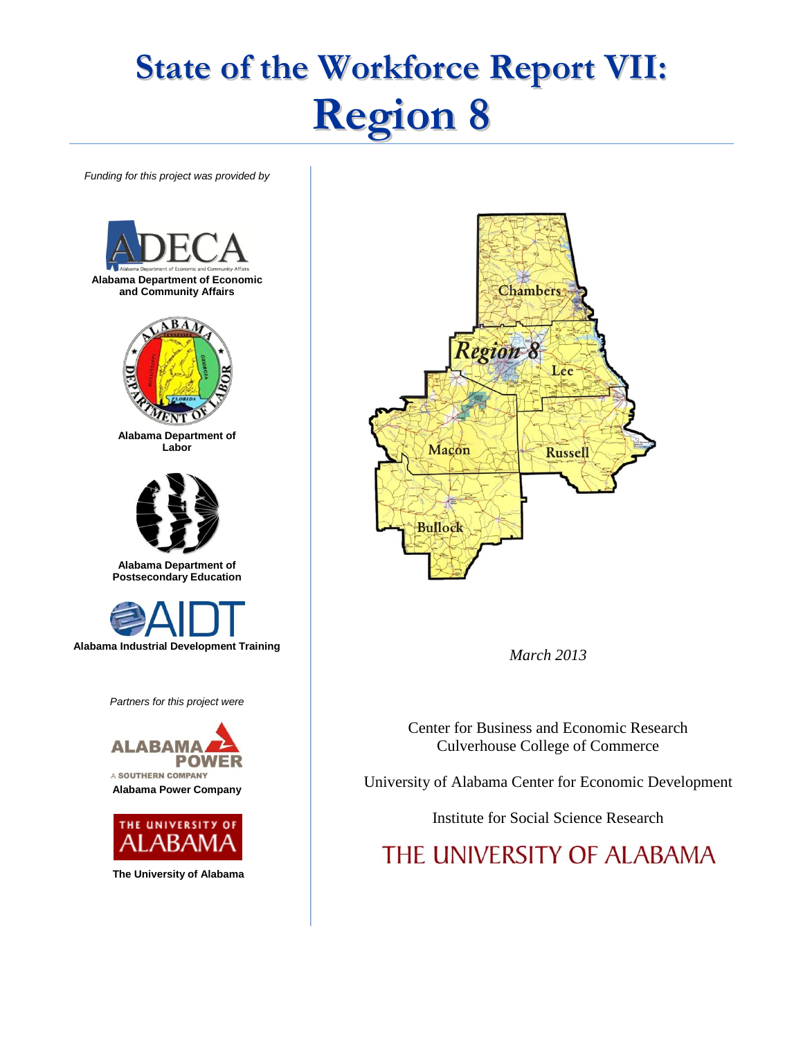# **State of the Workforce Report VII: Region 8**

*Funding for this project was provided by*







*March 2013*

Center for Business and Economic Research Culverhouse College of Commerce

University of Alabama Center for Economic Development

Institute for Social Science Research

THE UNIVERSITY OF ALABAMA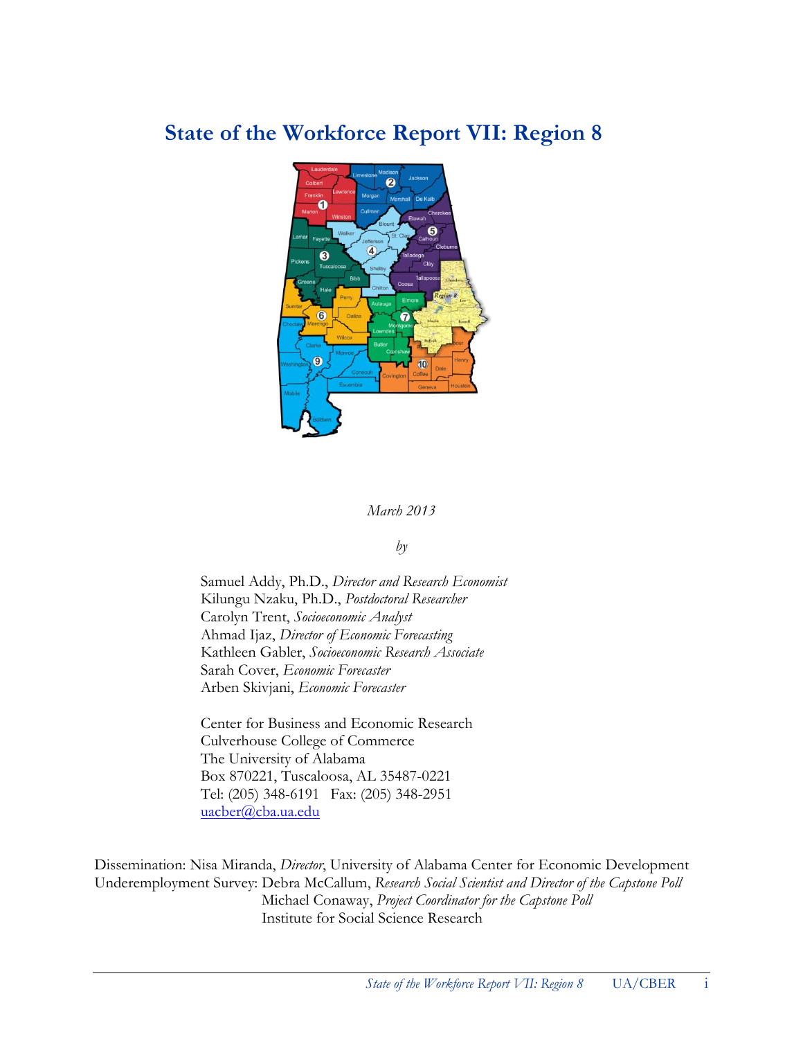# **State of the Workforce Report VII: Region 8**



#### *March 2013*

#### *by*

Samuel Addy, Ph.D., *Director and Research Economist* Kilungu Nzaku, Ph.D., *Postdoctoral Researcher* Carolyn Trent, *Socioeconomic Analyst* Ahmad Ijaz, *Director of Economic Forecasting* Kathleen Gabler, *Socioeconomic Research Associate* Sarah Cover, *Economic Forecaster* Arben Skivjani, *Economic Forecaster*

Center for Business and Economic Research Culverhouse College of Commerce The University of Alabama Box 870221, Tuscaloosa, AL 35487-0221 Tel: (205) 348-6191 Fax: (205) 348-2951 [uacber@cba.ua.edu](mailto:uacber@cba.ua.edu)

Dissemination: Nisa Miranda, *Director*, University of Alabama Center for Economic Development Underemployment Survey: Debra McCallum, *Research Social Scientist and Director of the Capstone Poll* Michael Conaway, *Project Coordinator for the Capstone Poll* Institute for Social Science Research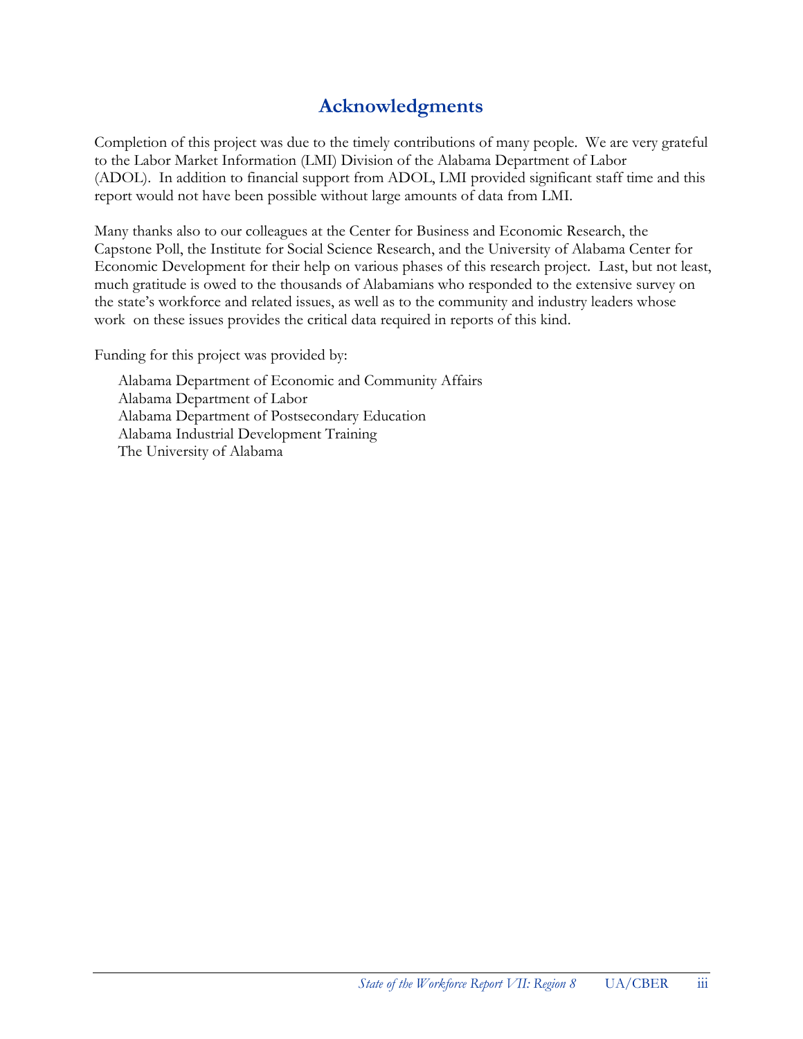# **Acknowledgments**

Completion of this project was due to the timely contributions of many people. We are very grateful to the Labor Market Information (LMI) Division of the Alabama Department of Labor (ADOL). In addition to financial support from ADOL, LMI provided significant staff time and this report would not have been possible without large amounts of data from LMI.

Many thanks also to our colleagues at the Center for Business and Economic Research, the Capstone Poll, the Institute for Social Science Research, and the University of Alabama Center for Economic Development for their help on various phases of this research project. Last, but not least, much gratitude is owed to the thousands of Alabamians who responded to the extensive survey on the state's workforce and related issues, as well as to the community and industry leaders whose work on these issues provides the critical data required in reports of this kind.

Funding for this project was provided by:

Alabama Department of Economic and Community Affairs Alabama Department of Labor Alabama Department of Postsecondary Education Alabama Industrial Development Training The University of Alabama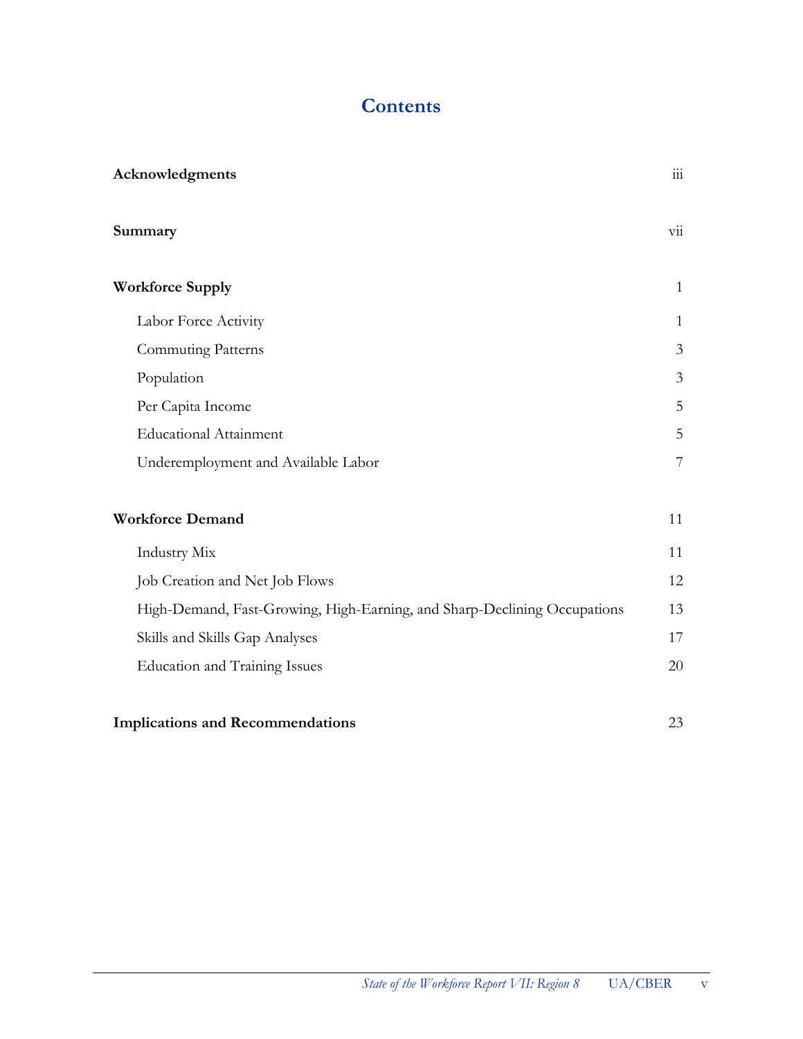# **Contents**

| Acknowledgments                                                          | $\mathop{\text{iii}}$     |
|--------------------------------------------------------------------------|---------------------------|
| Summary                                                                  | $\overline{\mathrm{vii}}$ |
| <b>Workforce Supply</b>                                                  | $\mathbf{1}$              |
| Labor Force Activity                                                     | $\mathbf{1}$              |
| Commuting Patterns                                                       | 3                         |
| Population                                                               | 3                         |
| Per Capita Income                                                        | 5                         |
| <b>Educational Attainment</b>                                            | 5                         |
| Underemployment and Available Labor                                      | $\overline{7}$            |
| <b>Workforce Demand</b>                                                  | 11                        |
| Industry Mix                                                             | 11                        |
| Job Creation and Net Job Flows                                           | 12                        |
| High-Demand, Fast-Growing, High-Earning, and Sharp-Declining Occupations | 13                        |
| Skills and Skills Gap Analyses                                           | 17                        |
| <b>Education and Training Issues</b>                                     | 20                        |
| <b>Implications and Recommendations</b>                                  | 23                        |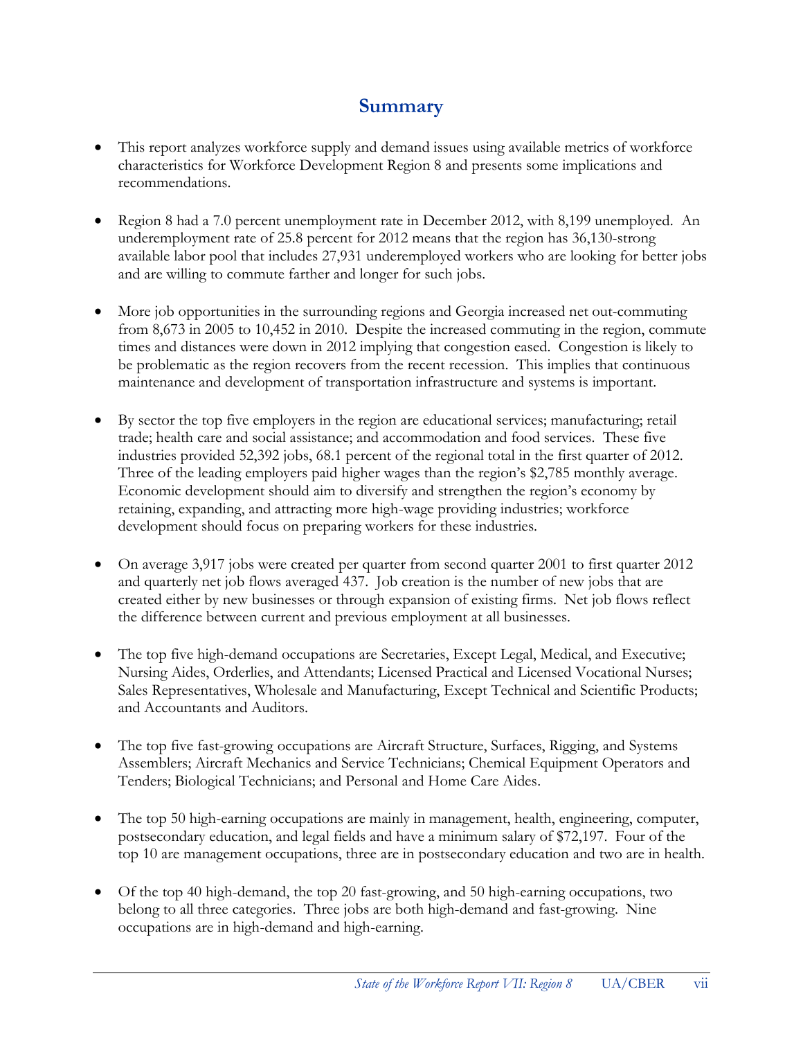# **Summary**

- This report analyzes workforce supply and demand issues using available metrics of workforce characteristics for Workforce Development Region 8 and presents some implications and recommendations.
- Region 8 had a 7.0 percent unemployment rate in December 2012, with 8,199 unemployed. An underemployment rate of 25.8 percent for 2012 means that the region has 36,130-strong available labor pool that includes 27,931 underemployed workers who are looking for better jobs and are willing to commute farther and longer for such jobs.
- More job opportunities in the surrounding regions and Georgia increased net out-commuting from 8,673 in 2005 to 10,452 in 2010. Despite the increased commuting in the region, commute times and distances were down in 2012 implying that congestion eased. Congestion is likely to be problematic as the region recovers from the recent recession. This implies that continuous maintenance and development of transportation infrastructure and systems is important.
- By sector the top five employers in the region are educational services; manufacturing; retail trade; health care and social assistance; and accommodation and food services. These five industries provided 52,392 jobs, 68.1 percent of the regional total in the first quarter of 2012. Three of the leading employers paid higher wages than the region's \$2,785 monthly average. Economic development should aim to diversify and strengthen the region's economy by retaining, expanding, and attracting more high-wage providing industries; workforce development should focus on preparing workers for these industries.
- On average 3,917 jobs were created per quarter from second quarter 2001 to first quarter 2012 and quarterly net job flows averaged 437. Job creation is the number of new jobs that are created either by new businesses or through expansion of existing firms. Net job flows reflect the difference between current and previous employment at all businesses.
- The top five high-demand occupations are Secretaries, Except Legal, Medical, and Executive; Nursing Aides, Orderlies, and Attendants; Licensed Practical and Licensed Vocational Nurses; Sales Representatives, Wholesale and Manufacturing, Except Technical and Scientific Products; and Accountants and Auditors.
- The top five fast-growing occupations are Aircraft Structure, Surfaces, Rigging, and Systems Assemblers; Aircraft Mechanics and Service Technicians; Chemical Equipment Operators and Tenders; Biological Technicians; and Personal and Home Care Aides.
- The top 50 high-earning occupations are mainly in management, health, engineering, computer, postsecondary education, and legal fields and have a minimum salary of \$72,197. Four of the top 10 are management occupations, three are in postsecondary education and two are in health.
- Of the top 40 high-demand, the top 20 fast-growing, and 50 high-earning occupations, two belong to all three categories. Three jobs are both high-demand and fast-growing. Nine occupations are in high-demand and high-earning.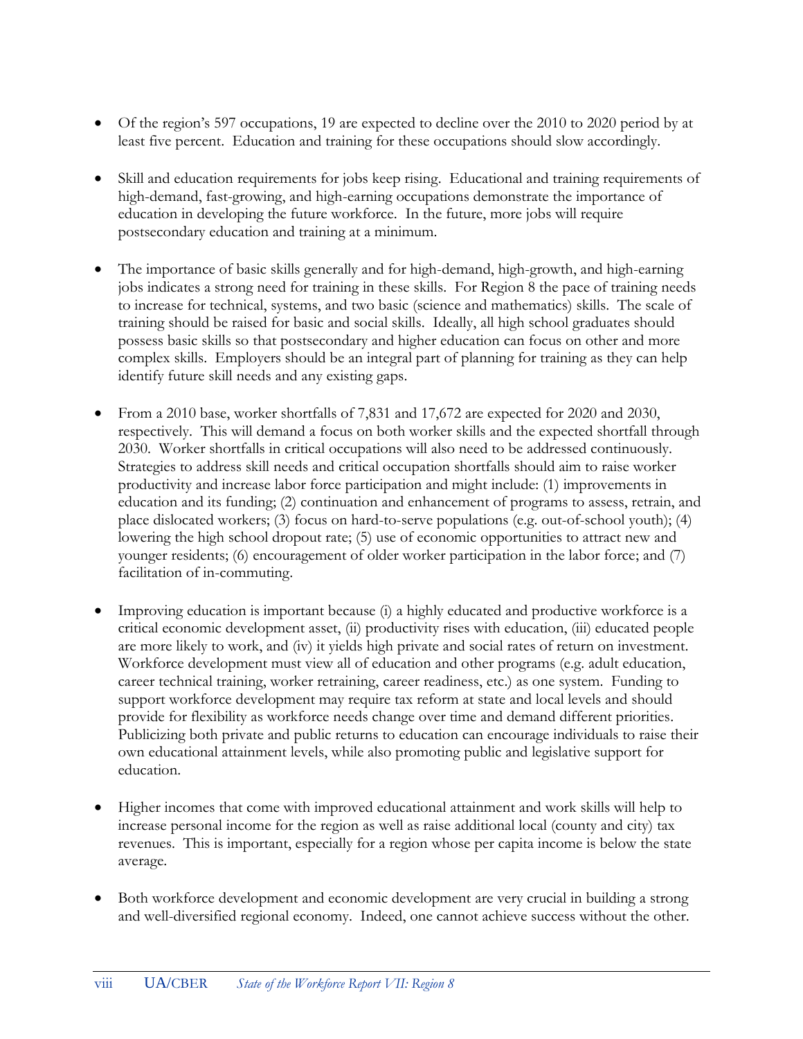- Of the region's 597 occupations, 19 are expected to decline over the 2010 to 2020 period by at least five percent. Education and training for these occupations should slow accordingly.
- Skill and education requirements for jobs keep rising. Educational and training requirements of high-demand, fast-growing, and high-earning occupations demonstrate the importance of education in developing the future workforce. In the future, more jobs will require postsecondary education and training at a minimum.
- The importance of basic skills generally and for high-demand, high-growth, and high-earning jobs indicates a strong need for training in these skills. For Region 8 the pace of training needs to increase for technical, systems, and two basic (science and mathematics) skills. The scale of training should be raised for basic and social skills. Ideally, all high school graduates should possess basic skills so that postsecondary and higher education can focus on other and more complex skills. Employers should be an integral part of planning for training as they can help identify future skill needs and any existing gaps.
- From a 2010 base, worker shortfalls of 7,831 and 17,672 are expected for 2020 and 2030, respectively. This will demand a focus on both worker skills and the expected shortfall through 2030. Worker shortfalls in critical occupations will also need to be addressed continuously. Strategies to address skill needs and critical occupation shortfalls should aim to raise worker productivity and increase labor force participation and might include: (1) improvements in education and its funding; (2) continuation and enhancement of programs to assess, retrain, and place dislocated workers; (3) focus on hard-to-serve populations (e.g. out-of-school youth); (4) lowering the high school dropout rate; (5) use of economic opportunities to attract new and younger residents; (6) encouragement of older worker participation in the labor force; and (7) facilitation of in-commuting.
- Improving education is important because (i) a highly educated and productive workforce is a critical economic development asset, (ii) productivity rises with education, (iii) educated people are more likely to work, and (iv) it yields high private and social rates of return on investment. Workforce development must view all of education and other programs (e.g. adult education, career technical training, worker retraining, career readiness, etc.) as one system. Funding to support workforce development may require tax reform at state and local levels and should provide for flexibility as workforce needs change over time and demand different priorities. Publicizing both private and public returns to education can encourage individuals to raise their own educational attainment levels, while also promoting public and legislative support for education.
- Higher incomes that come with improved educational attainment and work skills will help to increase personal income for the region as well as raise additional local (county and city) tax revenues. This is important, especially for a region whose per capita income is below the state average.
- Both workforce development and economic development are very crucial in building a strong and well-diversified regional economy. Indeed, one cannot achieve success without the other.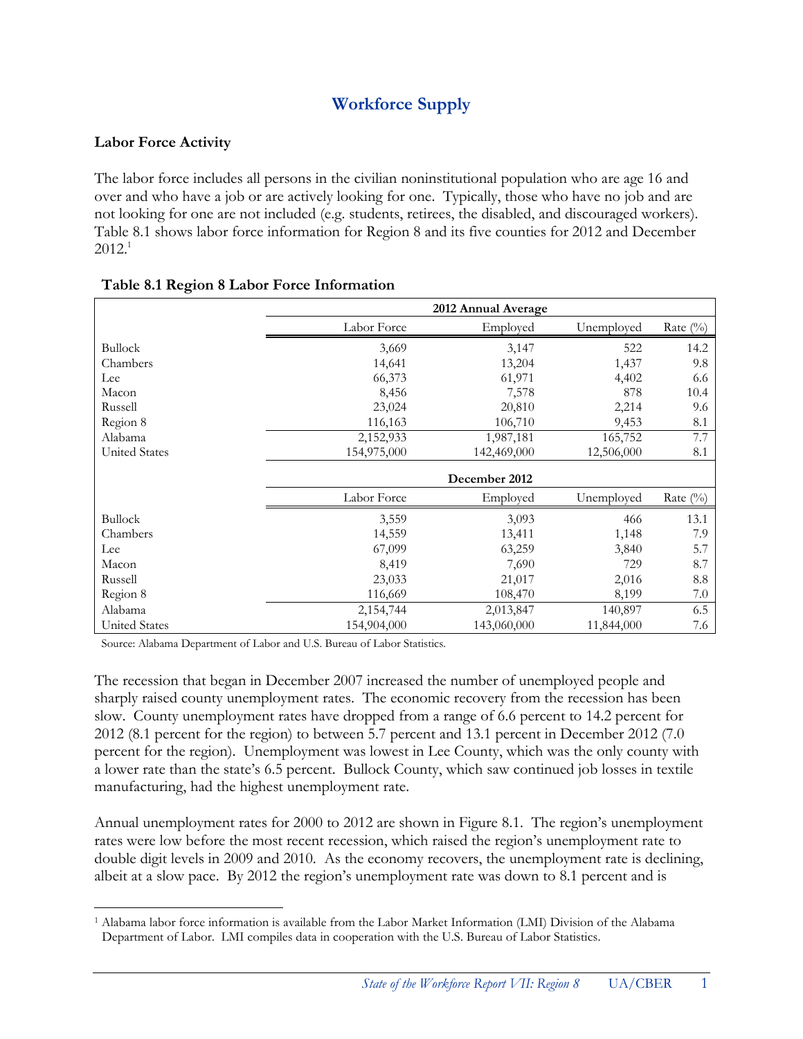# **Workforce Supply**

#### **Labor Force Activity**

 $\overline{a}$ 

The labor force includes all persons in the civilian noninstitutional population who are age 16 and over and who have a job or are actively looking for one. Typically, those who have no job and are not looking for one are not included (e.g. students, retirees, the disabled, and discouraged workers). Table 8.1 shows labor force information for Region 8 and its five counties for 2012 and December  $2012.<sup>1</sup>$ 

|                      |             | 2012 Annual Average |            |             |
|----------------------|-------------|---------------------|------------|-------------|
|                      | Labor Force | Employed            | Unemployed | Rate $(\%)$ |
| <b>Bullock</b>       | 3,669       | 3,147               | 522        | 14.2        |
| Chambers             | 14,641      | 13,204              | 1,437      | 9.8         |
| Lee                  | 66,373      | 61,971              | 4,402      | 6.6         |
| Macon                | 8,456       | 7,578               | 878        | 10.4        |
| Russell              | 23,024      | 20,810              | 2,214      | 9.6         |
| Region 8             | 116,163     | 106,710             | 9,453      | 8.1         |
| Alabama              | 2,152,933   | 1,987,181           | 165,752    | 7.7         |
| <b>United States</b> | 154,975,000 | 142,469,000         | 12,506,000 | 8.1         |
|                      |             | December 2012       |            |             |
|                      | Labor Force | Employed            | Unemployed | Rate $(\%)$ |
| <b>Bullock</b>       | 3,559       | 3,093               | 466        | 13.1        |
| Chambers             | 14,559      | 13,411              | 1,148      | 7.9         |
| Lee                  | 67,099      | 63,259              | 3,840      | 5.7         |
| Macon                | 8,419       | 7,690               | 729        | 8.7         |
| Russell              | 23,033      | 21,017              | 2,016      | 8.8         |
| Region 8             | 116,669     | 108,470             | 8,199      | 7.0         |
| Alabama              | 2,154,744   | 2,013,847           | 140,897    | 6.5         |
| <b>United States</b> | 154,904,000 | 143,060,000         | 11,844,000 | 7.6         |

#### **Table 8.1 Region 8 Labor Force Information**

Source: Alabama Department of Labor and U.S. Bureau of Labor Statistics.

The recession that began in December 2007 increased the number of unemployed people and sharply raised county unemployment rates. The economic recovery from the recession has been slow. County unemployment rates have dropped from a range of 6.6 percent to 14.2 percent for 2012 (8.1 percent for the region) to between 5.7 percent and 13.1 percent in December 2012 (7.0 percent for the region). Unemployment was lowest in Lee County, which was the only county with a lower rate than the state's 6.5 percent. Bullock County, which saw continued job losses in textile manufacturing, had the highest unemployment rate.

Annual unemployment rates for 2000 to 2012 are shown in Figure 8.1. The region's unemployment rates were low before the most recent recession, which raised the region's unemployment rate to double digit levels in 2009 and 2010. As the economy recovers, the unemployment rate is declining, albeit at a slow pace. By 2012 the region's unemployment rate was down to 8.1 percent and is

<sup>1</sup> Alabama labor force information is available from the Labor Market Information (LMI) Division of the Alabama Department of Labor. LMI compiles data in cooperation with the U.S. Bureau of Labor Statistics.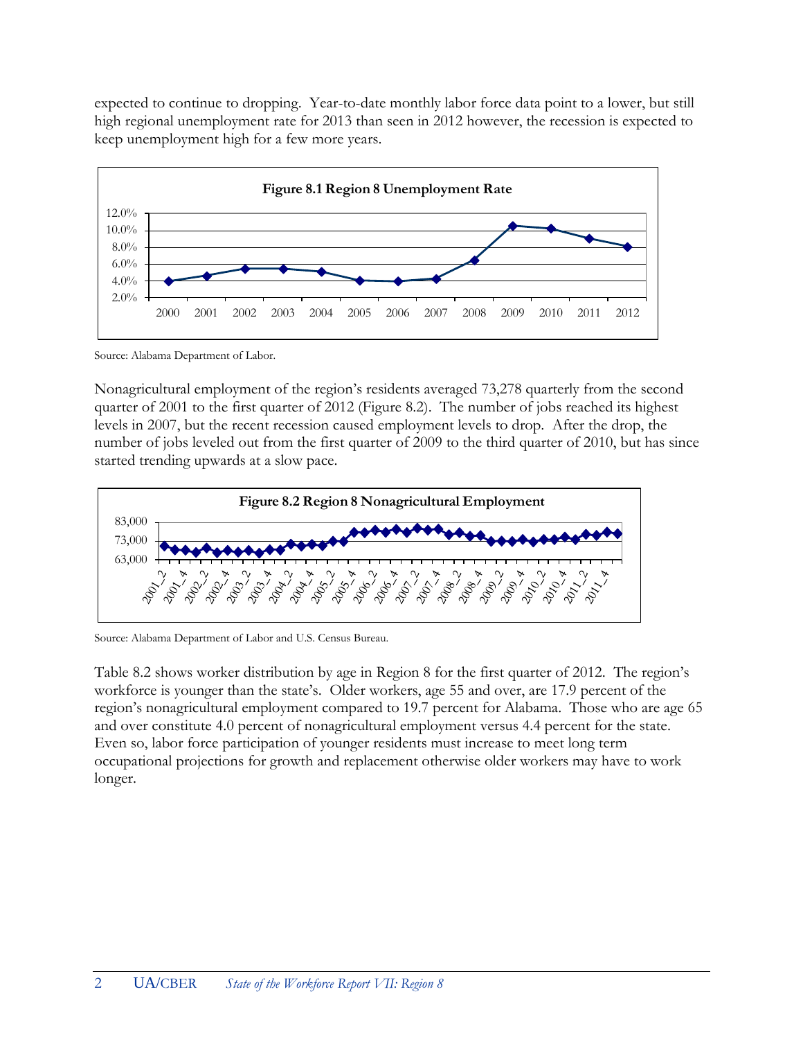expected to continue to dropping. Year-to-date monthly labor force data point to a lower, but still high regional unemployment rate for 2013 than seen in 2012 however, the recession is expected to keep unemployment high for a few more years.



Source: Alabama Department of Labor.

Nonagricultural employment of the region's residents averaged 73,278 quarterly from the second quarter of 2001 to the first quarter of 2012 (Figure 8.2). The number of jobs reached its highest levels in 2007, but the recent recession caused employment levels to drop. After the drop, the number of jobs leveled out from the first quarter of 2009 to the third quarter of 2010, but has since started trending upwards at a slow pace.



Source: Alabama Department of Labor and U.S. Census Bureau.

Table 8.2 shows worker distribution by age in Region 8 for the first quarter of 2012. The region's workforce is younger than the state's. Older workers, age 55 and over, are 17.9 percent of the region's nonagricultural employment compared to 19.7 percent for Alabama. Those who are age 65 and over constitute 4.0 percent of nonagricultural employment versus 4.4 percent for the state. Even so, labor force participation of younger residents must increase to meet long term occupational projections for growth and replacement otherwise older workers may have to work longer.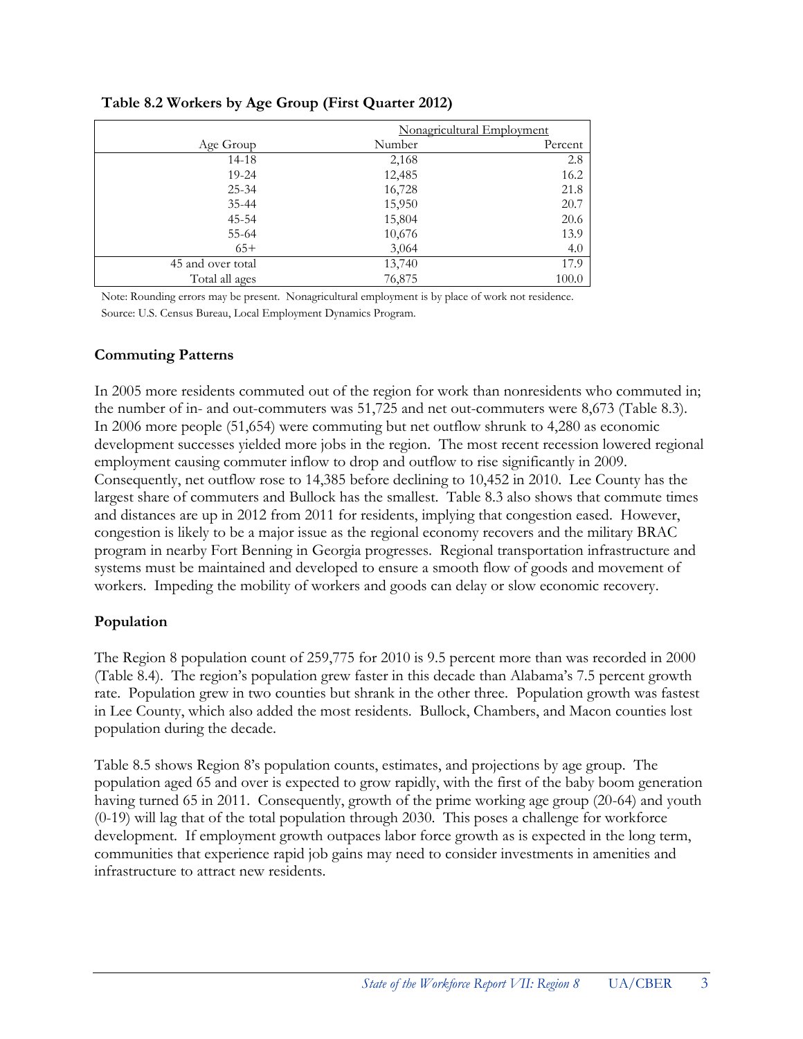|                   | Nonagricultural Employment |         |  |  |  |
|-------------------|----------------------------|---------|--|--|--|
| Age Group         | Number                     | Percent |  |  |  |
| $14 - 18$         | 2,168                      | 2.8     |  |  |  |
| $19 - 24$         | 12,485                     | 16.2    |  |  |  |
| $25 - 34$         | 16,728                     | 21.8    |  |  |  |
| $35 - 44$         | 15,950                     | 20.7    |  |  |  |
| $45 - 54$         | 15,804                     | 20.6    |  |  |  |
| 55-64             | 10,676                     | 13.9    |  |  |  |
| $65+$             | 3,064                      | 4.0     |  |  |  |
| 45 and over total | 13,740                     | 17.9    |  |  |  |
| Total all ages    | 76,875                     | 100.0   |  |  |  |

**Table 8.2 Workers by Age Group (First Quarter 2012)**

Note: Rounding errors may be present. Nonagricultural employment is by place of work not residence. Source: U.S. Census Bureau, Local Employment Dynamics Program.

#### **Commuting Patterns**

In 2005 more residents commuted out of the region for work than nonresidents who commuted in; the number of in- and out-commuters was 51,725 and net out-commuters were 8,673 (Table 8.3). In 2006 more people (51,654) were commuting but net outflow shrunk to 4,280 as economic development successes yielded more jobs in the region. The most recent recession lowered regional employment causing commuter inflow to drop and outflow to rise significantly in 2009. Consequently, net outflow rose to 14,385 before declining to 10,452 in 2010. Lee County has the largest share of commuters and Bullock has the smallest. Table 8.3 also shows that commute times and distances are up in 2012 from 2011 for residents, implying that congestion eased. However, congestion is likely to be a major issue as the regional economy recovers and the military BRAC program in nearby Fort Benning in Georgia progresses. Regional transportation infrastructure and systems must be maintained and developed to ensure a smooth flow of goods and movement of workers. Impeding the mobility of workers and goods can delay or slow economic recovery.

#### **Population**

The Region 8 population count of 259,775 for 2010 is 9.5 percent more than was recorded in 2000 (Table 8.4). The region's population grew faster in this decade than Alabama's 7.5 percent growth rate. Population grew in two counties but shrank in the other three. Population growth was fastest in Lee County, which also added the most residents. Bullock, Chambers, and Macon counties lost population during the decade.

Table 8.5 shows Region 8's population counts, estimates, and projections by age group. The population aged 65 and over is expected to grow rapidly, with the first of the baby boom generation having turned 65 in 2011. Consequently, growth of the prime working age group (20-64) and youth (0-19) will lag that of the total population through 2030. This poses a challenge for workforce development. If employment growth outpaces labor force growth as is expected in the long term, communities that experience rapid job gains may need to consider investments in amenities and infrastructure to attract new residents.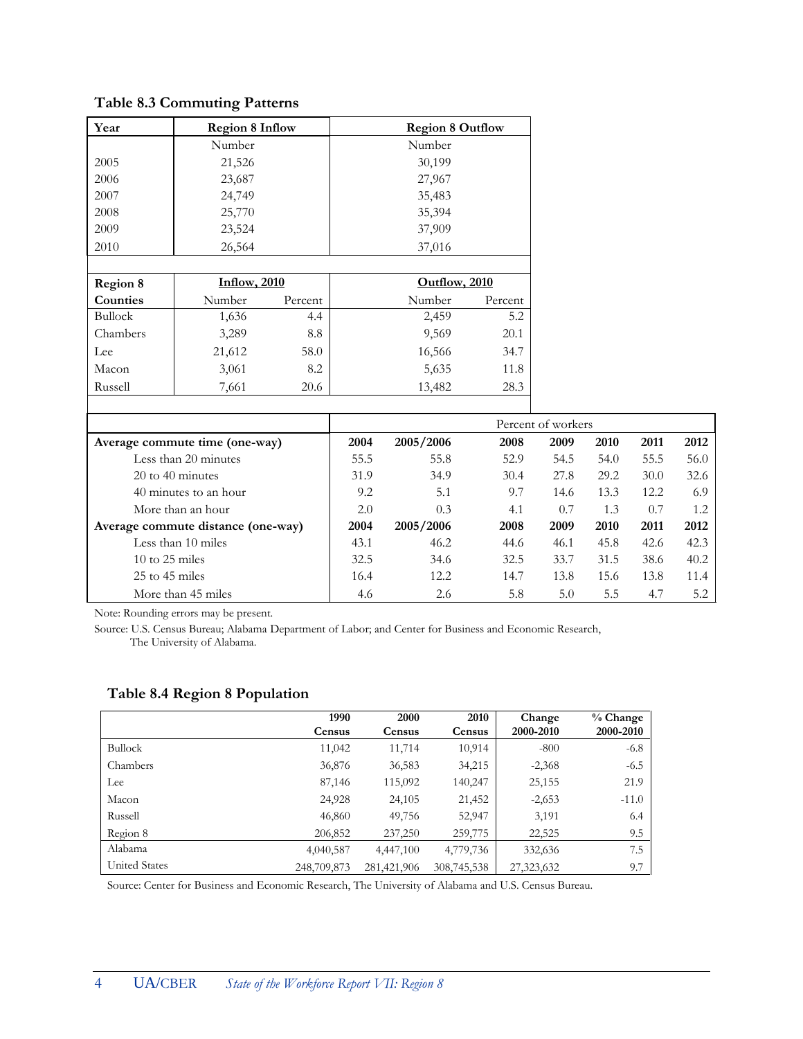**Table 8.3 Commuting Patterns**

| Year            | <b>Region 8 Inflow</b>         |         | <b>Region 8 Outflow</b> |           |         |                    |
|-----------------|--------------------------------|---------|-------------------------|-----------|---------|--------------------|
|                 | Number                         |         |                         | Number    |         |                    |
| 2005            | 21,526                         |         |                         | 30,199    |         |                    |
| 2006            | 23,687                         |         |                         | 27,967    |         |                    |
| 2007            | 24,749                         |         |                         | 35,483    |         |                    |
| 2008            | 25,770                         |         |                         | 35,394    |         |                    |
| 2009            | 23,524                         |         |                         | 37,909    |         |                    |
| 2010            | 26,564                         |         |                         | 37,016    |         |                    |
|                 |                                |         |                         |           |         |                    |
| <b>Region 8</b> | <b>Inflow</b> , 2010           |         | Outflow, 2010           |           |         |                    |
| Counties        | Number                         | Percent |                         | Number    | Percent |                    |
| <b>Bullock</b>  | 1,636                          | 4.4     |                         | 2,459     | 5.2     |                    |
| Chambers        | 3,289                          | 8.8     |                         | 9,569     | 20.1    |                    |
| Lee             | 21,612                         | 58.0    |                         | 16,566    | 34.7    |                    |
| Macon           | 3,061                          | 8.2     |                         | 5,635     | 11.8    |                    |
| Russell         | 7,661                          | 20.6    |                         | 13,482    | 28.3    |                    |
|                 |                                |         |                         |           |         |                    |
|                 |                                |         |                         |           |         | Percent of workers |
|                 | Average commute time (one-way) |         | 2004                    | 2005/2006 | 2008    | 2009               |
|                 | Less than 20 minutes           |         | 55.5                    | 55.8      | 52.9    | 54.5               |

| Average commute time (one-way)      | 2004 | 2005/2006 | 2008 | 2009 | 2010 | 2011 | 2012 |
|-------------------------------------|------|-----------|------|------|------|------|------|
| Less than 20 minutes                | 55.5 | 55.8      | 52.9 | 54.5 | 54.0 | 55.5 | 56.0 |
| $20 \text{ to } 40 \text{ minutes}$ | 31.9 | 34.9      | 30.4 | 27.8 | 29.2 | 30.0 | 32.6 |
| 40 minutes to an hour               | 9.2  | 5.1       | 9.7  | 14.6 | 13.3 | 12.2 | 6.9  |
| More than an hour                   | 2.0  | 0.3       | 4.1  | 0.7  | 1.3  | 0.7  | 1.2  |
| Average commute distance (one-way)  | 2004 | 2005/2006 | 2008 | 2009 | 2010 | 2011 | 2012 |
| Less than 10 miles                  | 43.1 | 46.2      | 44.6 | 46.1 | 45.8 | 42.6 | 42.3 |
| 10 to 25 miles                      | 32.5 | 34.6      | 32.5 | 33.7 | 31.5 | 38.6 | 40.2 |
| $25$ to $45$ miles                  | 16.4 | 12.2      | 14.7 | 13.8 | 15.6 | 13.8 | 11.4 |
| More than 45 miles                  | 4.6  | 2.6       | 5.8  | 5.0  | 5.5  | 4.7  | 5.2  |

Note: Rounding errors may be present.

Source: U.S. Census Bureau; Alabama Department of Labor; and Center for Business and Economic Research, The University of Alabama.

#### **Table 8.4 Region 8 Population**

|                      | 1990<br>Census | 2000<br>Census | 2010<br>Census | Change<br>2000-2010 | $%$ Change<br>2000-2010 |
|----------------------|----------------|----------------|----------------|---------------------|-------------------------|
| <b>Bullock</b>       | 11,042         | 11,714         | 10,914         | $-800$              | $-6.8$                  |
| Chambers             | 36,876         | 36,583         | 34,215         | $-2,368$            | $-6.5$                  |
| Lee                  | 87,146         | 115,092        | 140,247        | 25,155              | 21.9                    |
| Macon                | 24,928         | 24,105         | 21,452         | $-2,653$            | $-11.0$                 |
| Russell              | 46,860         | 49,756         | 52,947         | 3,191               | 6.4                     |
| Region 8             | 206,852        | 237,250        | 259,775        | 22,525              | 9.5                     |
| Alabama              | 4,040,587      | 4,447,100      | 4,779,736      | 332,636             | 7.5                     |
| <b>United States</b> | 248,709,873    | 281,421,906    | 308,745,538    | 27,323,632          | 9.7                     |

Source: Center for Business and Economic Research, The University of Alabama and U.S. Census Bureau.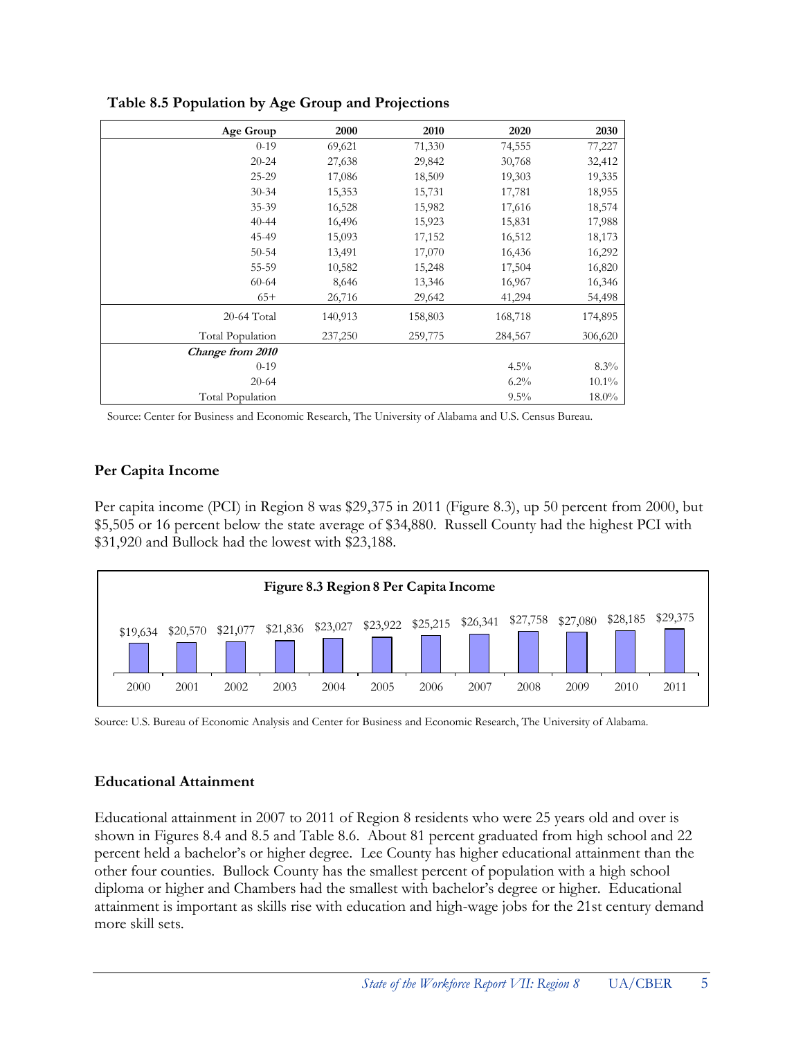| Age Group        | 2000    | 2010    | 2020    | 2030     |
|------------------|---------|---------|---------|----------|
| $0-19$           | 69,621  | 71,330  | 74,555  | 77,227   |
| $20 - 24$        | 27,638  | 29,842  | 30,768  | 32,412   |
| 25-29            | 17,086  | 18,509  | 19,303  | 19,335   |
| $30 - 34$        | 15,353  | 15,731  | 17,781  | 18,955   |
| 35-39            | 16,528  | 15,982  | 17,616  | 18,574   |
| $40 - 44$        | 16,496  | 15,923  | 15,831  | 17,988   |
| 45-49            | 15,093  | 17,152  | 16,512  | 18,173   |
| $50 - 54$        | 13,491  | 17,070  | 16,436  | 16,292   |
| 55-59            | 10,582  | 15,248  | 17,504  | 16,820   |
| $60 - 64$        | 8,646   | 13,346  | 16,967  | 16,346   |
| $65+$            | 26,716  | 29,642  | 41,294  | 54,498   |
| 20-64 Total      | 140,913 | 158,803 | 168,718 | 174,895  |
| Total Population | 237,250 | 259,775 | 284,567 | 306,620  |
| Change from 2010 |         |         |         |          |
| $0-19$           |         |         | $4.5\%$ | 8.3%     |
| $20 - 64$        |         |         | $6.2\%$ | $10.1\%$ |
| Total Population |         |         | $9.5\%$ | $18.0\%$ |

**Table 8.5 Population by Age Group and Projections**

Source: Center for Business and Economic Research, The University of Alabama and U.S. Census Bureau.

#### **Per Capita Income**

Per capita income (PCI) in Region 8 was \$29,375 in 2011 (Figure 8.3), up 50 percent from 2000, but \$5,505 or 16 percent below the state average of \$34,880. Russell County had the highest PCI with \$31,920 and Bullock had the lowest with \$23,188.



Source: U.S. Bureau of Economic Analysis and Center for Business and Economic Research, The University of Alabama.

#### **Educational Attainment**

Educational attainment in 2007 to 2011 of Region 8 residents who were 25 years old and over is shown in Figures 8.4 and 8.5 and Table 8.6. About 81 percent graduated from high school and 22 percent held a bachelor's or higher degree. Lee County has higher educational attainment than the other four counties. Bullock County has the smallest percent of population with a high school diploma or higher and Chambers had the smallest with bachelor's degree or higher. Educational attainment is important as skills rise with education and high-wage jobs for the 21st century demand more skill sets.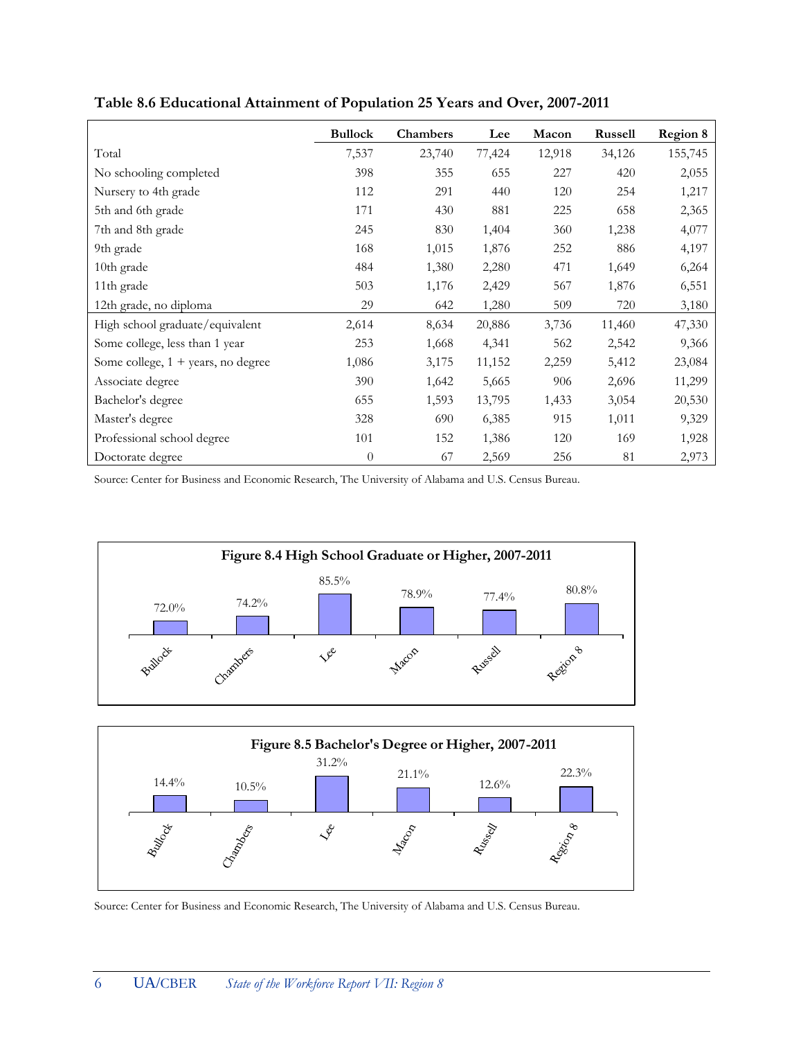|                                              | <b>Bullock</b> | Chambers | Lee    | Macon  | Russell | <b>Region 8</b> |
|----------------------------------------------|----------------|----------|--------|--------|---------|-----------------|
| Total                                        | 7,537          | 23,740   | 77,424 | 12,918 | 34,126  | 155,745         |
| No schooling completed                       | 398            | 355      | 655    | 227    | 420     | 2,055           |
| Nursery to 4th grade                         | 112            | 291      | 440    | 120    | 254     | 1,217           |
| 5th and 6th grade                            | 171            | 430      | 881    | 225    | 658     | 2,365           |
| 7th and 8th grade                            | 245            | 830      | 1,404  | 360    | 1,238   | 4,077           |
| 9th grade                                    | 168            | 1,015    | 1,876  | 252    | 886     | 4,197           |
| 10th grade                                   | 484            | 1,380    | 2,280  | 471    | 1,649   | 6,264           |
| 11th grade                                   | 503            | 1,176    | 2,429  | 567    | 1,876   | 6,551           |
| 12th grade, no diploma                       | 29             | 642      | 1,280  | 509    | 720     | 3,180           |
| High school graduate/equivalent              | 2,614          | 8,634    | 20,886 | 3,736  | 11,460  | 47,330          |
| Some college, less than 1 year               | 253            | 1,668    | 4,341  | 562    | 2,542   | 9,366           |
| Some college, $1 + \text{years}$ , no degree | 1,086          | 3,175    | 11,152 | 2,259  | 5,412   | 23,084          |
| Associate degree                             | 390            | 1,642    | 5,665  | 906    | 2,696   | 11,299          |
| Bachelor's degree                            | 655            | 1,593    | 13,795 | 1,433  | 3,054   | 20,530          |
| Master's degree                              | 328            | 690      | 6,385  | 915    | 1,011   | 9,329           |
| Professional school degree                   | 101            | 152      | 1,386  | 120    | 169     | 1,928           |
| Doctorate degree                             | $\overline{0}$ | 67       | 2,569  | 256    | 81      | 2,973           |

**Table 8.6 Educational Attainment of Population 25 Years and Over, 2007-2011**

Source: Center for Business and Economic Research, The University of Alabama and U.S. Census Bureau.





Source: Center for Business and Economic Research, The University of Alabama and U.S. Census Bureau.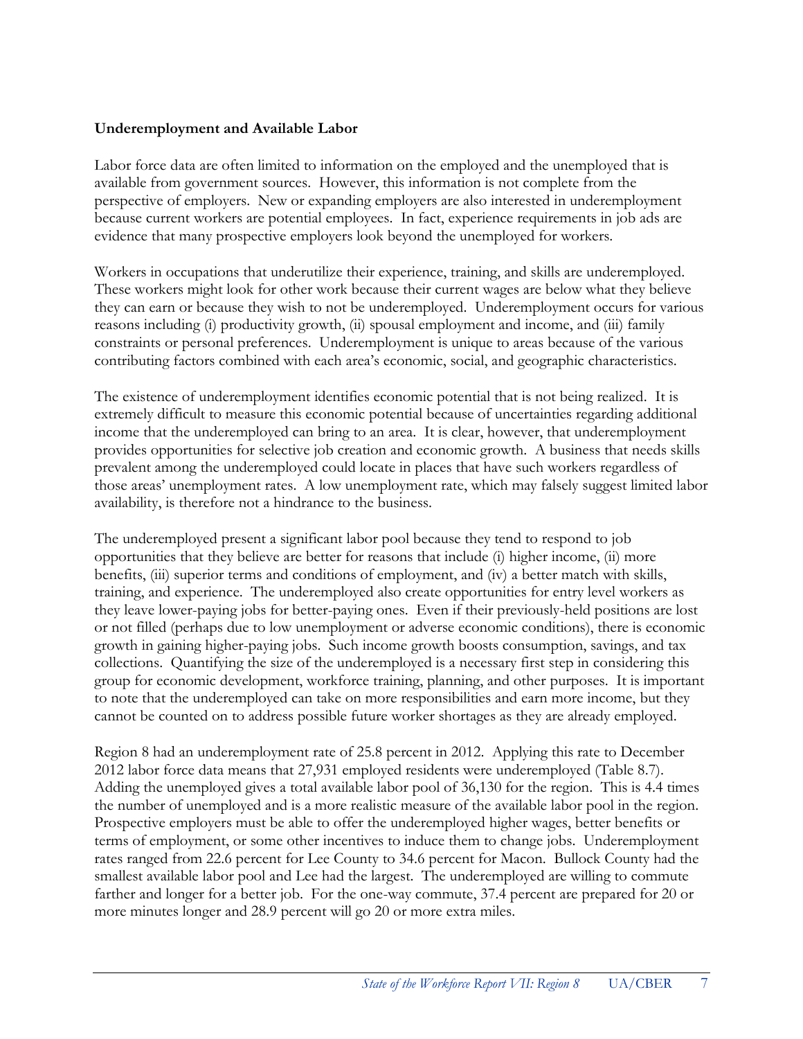#### **Underemployment and Available Labor**

Labor force data are often limited to information on the employed and the unemployed that is available from government sources. However, this information is not complete from the perspective of employers. New or expanding employers are also interested in underemployment because current workers are potential employees. In fact, experience requirements in job ads are evidence that many prospective employers look beyond the unemployed for workers.

Workers in occupations that underutilize their experience, training, and skills are underemployed. These workers might look for other work because their current wages are below what they believe they can earn or because they wish to not be underemployed. Underemployment occurs for various reasons including (i) productivity growth, (ii) spousal employment and income, and (iii) family constraints or personal preferences. Underemployment is unique to areas because of the various contributing factors combined with each area's economic, social, and geographic characteristics.

The existence of underemployment identifies economic potential that is not being realized. It is extremely difficult to measure this economic potential because of uncertainties regarding additional income that the underemployed can bring to an area. It is clear, however, that underemployment provides opportunities for selective job creation and economic growth. A business that needs skills prevalent among the underemployed could locate in places that have such workers regardless of those areas' unemployment rates. A low unemployment rate, which may falsely suggest limited labor availability, is therefore not a hindrance to the business.

The underemployed present a significant labor pool because they tend to respond to job opportunities that they believe are better for reasons that include (i) higher income, (ii) more benefits, (iii) superior terms and conditions of employment, and (iv) a better match with skills, training, and experience. The underemployed also create opportunities for entry level workers as they leave lower-paying jobs for better-paying ones. Even if their previously-held positions are lost or not filled (perhaps due to low unemployment or adverse economic conditions), there is economic growth in gaining higher-paying jobs. Such income growth boosts consumption, savings, and tax collections. Quantifying the size of the underemployed is a necessary first step in considering this group for economic development, workforce training, planning, and other purposes. It is important to note that the underemployed can take on more responsibilities and earn more income, but they cannot be counted on to address possible future worker shortages as they are already employed.

Region 8 had an underemployment rate of 25.8 percent in 2012. Applying this rate to December 2012 labor force data means that 27,931 employed residents were underemployed (Table 8.7). Adding the unemployed gives a total available labor pool of 36,130 for the region. This is 4.4 times the number of unemployed and is a more realistic measure of the available labor pool in the region. Prospective employers must be able to offer the underemployed higher wages, better benefits or terms of employment, or some other incentives to induce them to change jobs. Underemployment rates ranged from 22.6 percent for Lee County to 34.6 percent for Macon. Bullock County had the smallest available labor pool and Lee had the largest. The underemployed are willing to commute farther and longer for a better job. For the one-way commute, 37.4 percent are prepared for 20 or more minutes longer and 28.9 percent will go 20 or more extra miles.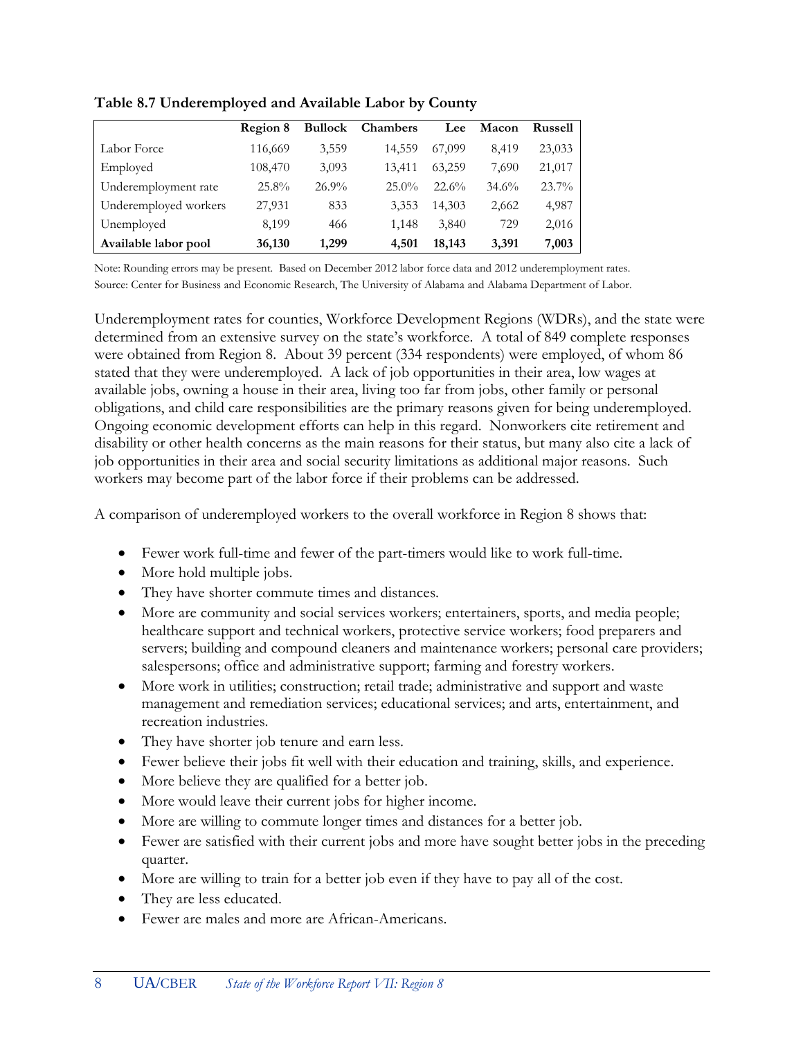|                       | Region 8 | <b>Bullock</b> | <b>Chambers</b> | Lee    | <b>Macon</b> | <b>Russell</b> |
|-----------------------|----------|----------------|-----------------|--------|--------------|----------------|
| Labor Force           | 116,669  | 3,559          | 14,559          | 67,099 | 8,419        | 23,033         |
| Employed              | 108,470  | 3,093          | 13.411          | 63.259 | 7.690        | 21,017         |
| Underemployment rate  | $25.8\%$ | $26.9\%$       | $25.0\%$        | 22.6%  | 34.6%        | $23.7\%$       |
| Underemployed workers | 27,931   | 833            | 3,353           | 14.303 | 2,662        | 4,987          |
| Unemployed            | 8,199    | 466            | 1,148           | 3,840  | 729          | 2,016          |
| Available labor pool  | 36,130   | 1,299          | 4,501           | 18,143 | 3,391        | 7,003          |

**Table 8.7 Underemployed and Available Labor by County**

Note: Rounding errors may be present. Based on December 2012 labor force data and 2012 underemployment rates. Source: Center for Business and Economic Research, The University of Alabama and Alabama Department of Labor.

Underemployment rates for counties, Workforce Development Regions (WDRs), and the state were determined from an extensive survey on the state's workforce. A total of 849 complete responses were obtained from Region 8. About 39 percent (334 respondents) were employed, of whom 86 stated that they were underemployed. A lack of job opportunities in their area, low wages at available jobs, owning a house in their area, living too far from jobs, other family or personal obligations, and child care responsibilities are the primary reasons given for being underemployed. Ongoing economic development efforts can help in this regard. Nonworkers cite retirement and disability or other health concerns as the main reasons for their status, but many also cite a lack of job opportunities in their area and social security limitations as additional major reasons. Such workers may become part of the labor force if their problems can be addressed.

A comparison of underemployed workers to the overall workforce in Region 8 shows that:

- Fewer work full-time and fewer of the part-timers would like to work full-time.
- More hold multiple jobs.
- They have shorter commute times and distances.
- More are community and social services workers; entertainers, sports, and media people; healthcare support and technical workers, protective service workers; food preparers and servers; building and compound cleaners and maintenance workers; personal care providers; salespersons; office and administrative support; farming and forestry workers.
- More work in utilities; construction; retail trade; administrative and support and waste management and remediation services; educational services; and arts, entertainment, and recreation industries.
- They have shorter job tenure and earn less.
- Fewer believe their jobs fit well with their education and training, skills, and experience.
- More believe they are qualified for a better job.
- More would leave their current jobs for higher income.
- More are willing to commute longer times and distances for a better job.
- Fewer are satisfied with their current jobs and more have sought better jobs in the preceding quarter.
- More are willing to train for a better job even if they have to pay all of the cost.
- They are less educated.
- Fewer are males and more are African-Americans.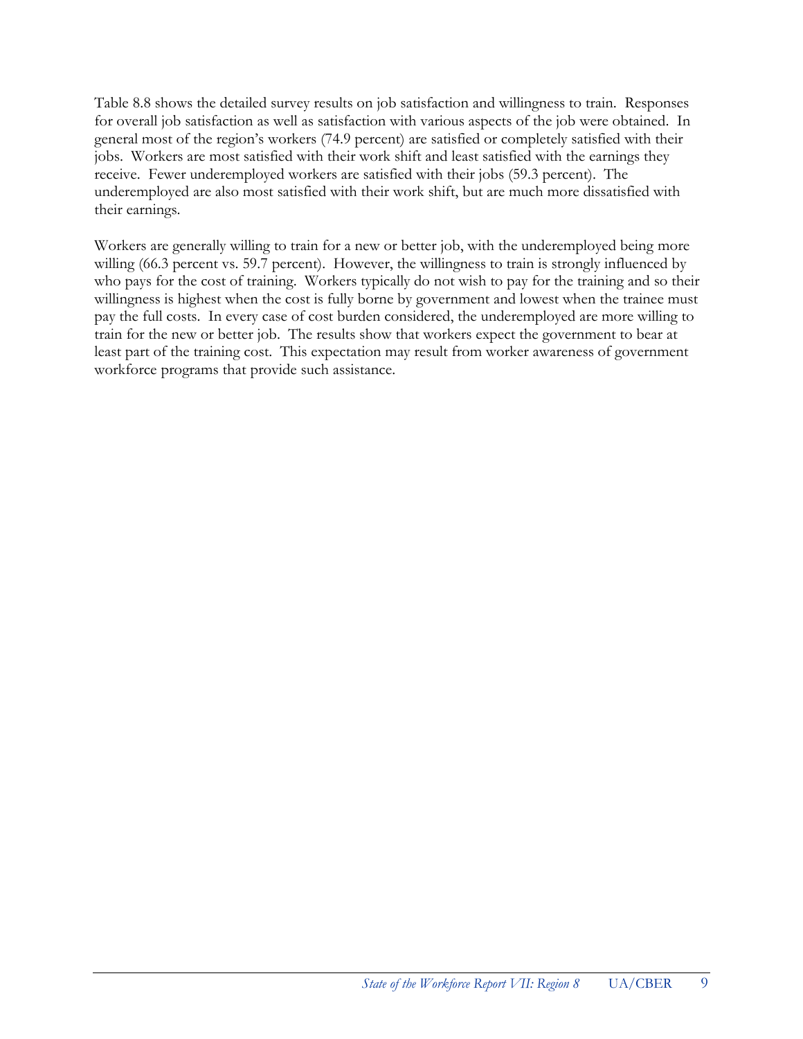Table 8.8 shows the detailed survey results on job satisfaction and willingness to train. Responses for overall job satisfaction as well as satisfaction with various aspects of the job were obtained. In general most of the region's workers (74.9 percent) are satisfied or completely satisfied with their jobs. Workers are most satisfied with their work shift and least satisfied with the earnings they receive. Fewer underemployed workers are satisfied with their jobs (59.3 percent). The underemployed are also most satisfied with their work shift, but are much more dissatisfied with their earnings.

Workers are generally willing to train for a new or better job, with the underemployed being more willing (66.3 percent vs. 59.7 percent). However, the willingness to train is strongly influenced by who pays for the cost of training. Workers typically do not wish to pay for the training and so their willingness is highest when the cost is fully borne by government and lowest when the trainee must pay the full costs. In every case of cost burden considered, the underemployed are more willing to train for the new or better job. The results show that workers expect the government to bear at least part of the training cost. This expectation may result from worker awareness of government workforce programs that provide such assistance.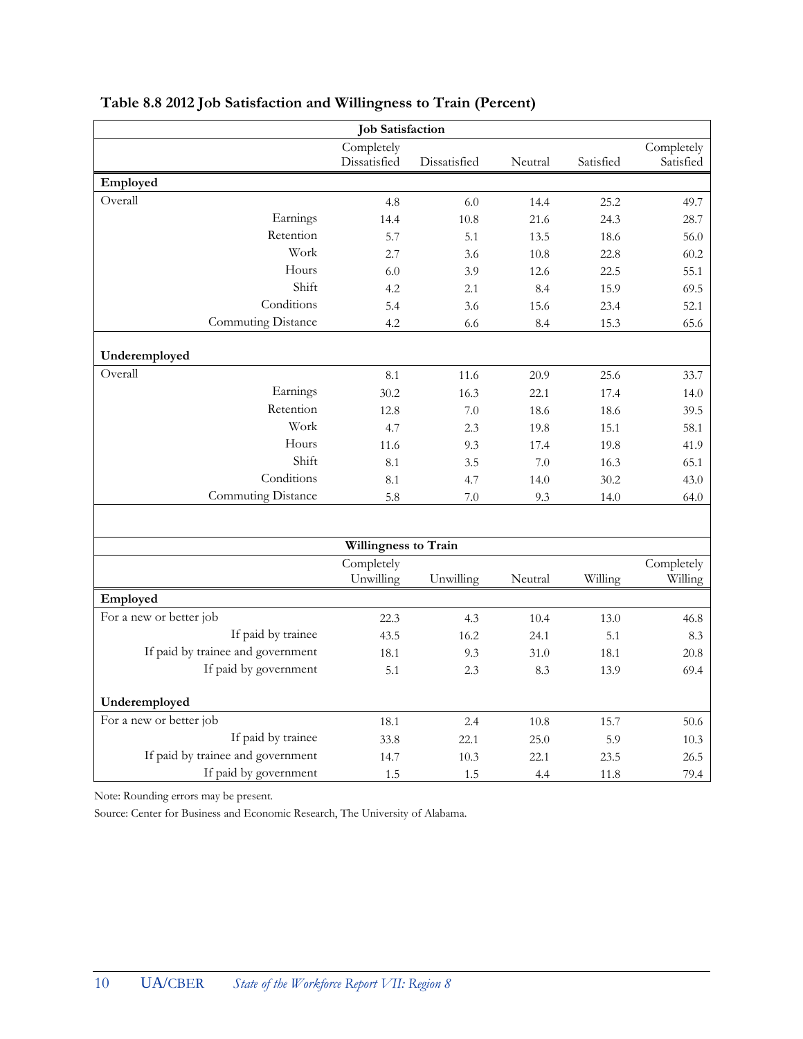| <b>Job Satisfaction</b>           |                            |              |         |           |                         |  |
|-----------------------------------|----------------------------|--------------|---------|-----------|-------------------------|--|
|                                   | Completely<br>Dissatisfied | Dissatisfied | Neutral | Satisfied | Completely<br>Satisfied |  |
| Employed                          |                            |              |         |           |                         |  |
| Overall                           | 4.8                        | 6.0          | 14.4    | 25.2      | 49.7                    |  |
| Earnings                          | 14.4                       | 10.8         | 21.6    | 24.3      | 28.7                    |  |
| Retention                         | 5.7                        | 5.1          | 13.5    | 18.6      | 56.0                    |  |
| Work                              | 2.7                        | 3.6          | 10.8    | 22.8      | 60.2                    |  |
| Hours                             | 6.0                        | 3.9          | 12.6    | 22.5      | 55.1                    |  |
| Shift                             | 4.2                        | 2.1          | 8.4     | 15.9      | 69.5                    |  |
| Conditions                        | 5.4                        | 3.6          | 15.6    | 23.4      | 52.1                    |  |
| Commuting Distance                | 4.2                        | 6.6          | 8.4     | 15.3      | 65.6                    |  |
| Underemployed                     |                            |              |         |           |                         |  |
| Overall                           | 8.1                        | 11.6         | 20.9    | 25.6      | 33.7                    |  |
| Earnings                          | 30.2                       | 16.3         | 22.1    | 17.4      | 14.0                    |  |
| Retention                         | 12.8                       | 7.0          | 18.6    | 18.6      | 39.5                    |  |
| Work                              | 4.7                        | 2.3          | 19.8    | 15.1      | 58.1                    |  |
| Hours                             | 11.6                       | 9.3          | 17.4    | 19.8      | 41.9                    |  |
| Shift                             | 8.1                        | 3.5          | 7.0     | 16.3      | 65.1                    |  |
| Conditions                        | 8.1                        | 4.7          | 14.0    | 30.2      | 43.0                    |  |
| Commuting Distance                | 5.8                        | 7.0          | 9.3     | 14.0      | 64.0                    |  |
|                                   |                            |              |         |           |                         |  |
|                                   | Willingness to Train       |              |         |           |                         |  |
|                                   | Completely<br>Unwilling    | Unwilling    | Neutral | Willing   | Completely<br>Willing   |  |
| Employed                          |                            |              |         |           |                         |  |
| For a new or better job           | 22.3                       | 4.3          | 10.4    | 13.0      | 46.8                    |  |
| If paid by trainee                | 43.5                       | 16.2         | 24.1    | 5.1       | 8.3                     |  |
| If paid by trainee and government | 18.1                       | 9.3          | 31.0    | 18.1      | 20.8                    |  |
| If paid by government             | 5.1                        | 2.3          | 8.3     | 13.9      | 69.4                    |  |
|                                   |                            |              |         |           |                         |  |
| Underemployed                     |                            |              |         |           |                         |  |
| For a new or better job           | 18.1                       | 2.4          | 10.8    | 15.7      | 50.6                    |  |
| If paid by trainee                | 33.8                       | 22.1         | 25.0    | 5.9       | 10.3                    |  |
| If paid by trainee and government | 14.7                       | 10.3         | 22.1    | 23.5      | 26.5                    |  |
| If paid by government             | 1.5                        | 1.5          | 4.4     | 11.8      | 79.4                    |  |

#### **Table 8.8 2012 Job Satisfaction and Willingness to Train (Percent)**

Note: Rounding errors may be present.

Source: Center for Business and Economic Research, The University of Alabama.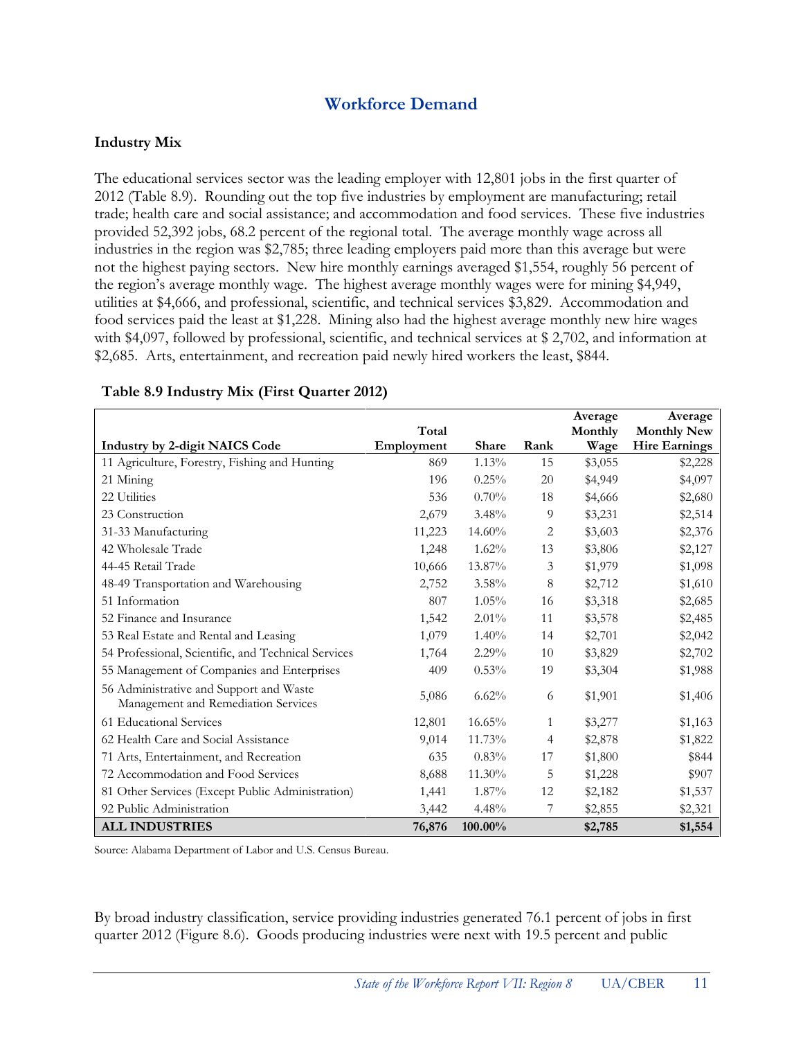## **Workforce Demand**

#### **Industry Mix**

The educational services sector was the leading employer with 12,801 jobs in the first quarter of 2012 (Table 8.9). Rounding out the top five industries by employment are manufacturing; retail trade; health care and social assistance; and accommodation and food services. These five industries provided 52,392 jobs, 68.2 percent of the regional total. The average monthly wage across all industries in the region was \$2,785; three leading employers paid more than this average but were not the highest paying sectors. New hire monthly earnings averaged \$1,554, roughly 56 percent of the region's average monthly wage. The highest average monthly wages were for mining \$4,949, utilities at \$4,666, and professional, scientific, and technical services \$3,829. Accommodation and food services paid the least at \$1,228. Mining also had the highest average monthly new hire wages with \$4,097, followed by professional, scientific, and technical services at \$2,702, and information at \$2,685. Arts, entertainment, and recreation paid newly hired workers the least, \$844.

|                                                                                |            |              |      | Average | Average              |
|--------------------------------------------------------------------------------|------------|--------------|------|---------|----------------------|
|                                                                                | Total      |              |      | Monthly | <b>Monthly New</b>   |
| <b>Industry by 2-digit NAICS Code</b>                                          | Employment | <b>Share</b> | Rank | Wage    | <b>Hire Earnings</b> |
| 11 Agriculture, Forestry, Fishing and Hunting                                  | 869        | 1.13%        | 15   | \$3,055 | \$2,228              |
| 21 Mining                                                                      | 196        | 0.25%        | 20   | \$4,949 | \$4,097              |
| 22 Utilities                                                                   | 536        | 0.70%        | 18   | \$4,666 | \$2,680              |
| 23 Construction                                                                | 2,679      | 3.48%        | 9    | \$3,231 | \$2,514              |
| 31-33 Manufacturing                                                            | 11,223     | $14.60\%$    | 2    | \$3,603 | \$2,376              |
| 42 Wholesale Trade                                                             | 1,248      | 1.62%        | 13   | \$3,806 | \$2,127              |
| 44-45 Retail Trade                                                             | 10,666     | 13.87%       | 3    | \$1,979 | \$1,098              |
| 48-49 Transportation and Warehousing                                           | 2,752      | $3.58\%$     | 8    | \$2,712 | \$1,610              |
| 51 Information                                                                 | 807        | 1.05%        | 16   | \$3,318 | \$2,685              |
| 52 Finance and Insurance                                                       | 1,542      | 2.01%        | 11   | \$3,578 | \$2,485              |
| 53 Real Estate and Rental and Leasing                                          | 1,079      | 1.40%        | 14   | \$2,701 | \$2,042              |
| 54 Professional, Scientific, and Technical Services                            | 1,764      | $2.29\%$     | 10   | \$3,829 | \$2,702              |
| 55 Management of Companies and Enterprises                                     | 409        | 0.53%        | 19   | \$3,304 | \$1,988              |
| 56 Administrative and Support and Waste<br>Management and Remediation Services | 5,086      | 6.62%        | 6    | \$1,901 | \$1,406              |
| 61 Educational Services                                                        | 12,801     | 16.65%       | 1    | \$3,277 | \$1,163              |
| 62 Health Care and Social Assistance                                           | 9,014      | 11.73%       | 4    | \$2,878 | \$1,822              |
| 71 Arts, Entertainment, and Recreation                                         | 635        | 0.83%        | 17   | \$1,800 | \$844                |
| 72 Accommodation and Food Services                                             | 8,688      | 11.30%       | 5    | \$1,228 | \$907                |
| 81 Other Services (Except Public Administration)                               | 1,441      | 1.87%        | 12   | \$2,182 | \$1,537              |
| 92 Public Administration                                                       | 3,442      | 4.48%        | 7    | \$2,855 | \$2,321              |
| <b>ALL INDUSTRIES</b>                                                          | 76,876     | 100.00%      |      | \$2,785 | \$1,554              |

#### **Table 8.9 Industry Mix (First Quarter 2012)**

Source: Alabama Department of Labor and U.S. Census Bureau.

By broad industry classification, service providing industries generated 76.1 percent of jobs in first quarter 2012 (Figure 8.6). Goods producing industries were next with 19.5 percent and public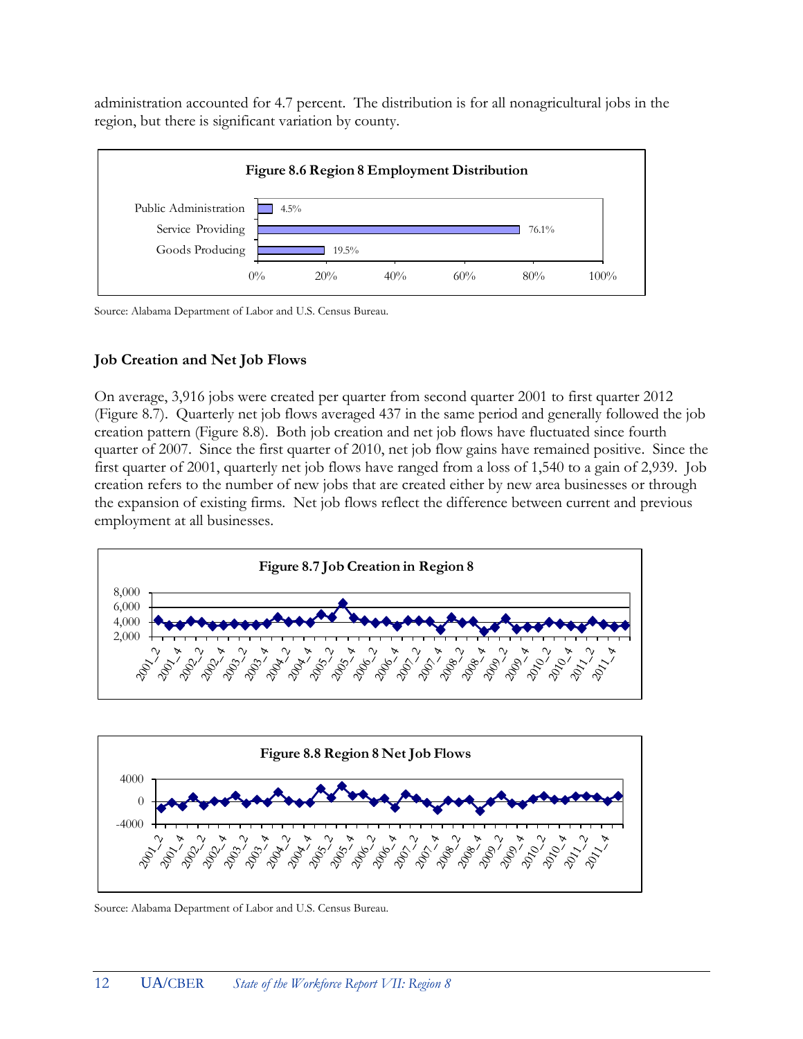administration accounted for 4.7 percent. The distribution is for all nonagricultural jobs in the region, but there is significant variation by county.



Source: Alabama Department of Labor and U.S. Census Bureau.

#### **Job Creation and Net Job Flows**

On average, 3,916 jobs were created per quarter from second quarter 2001 to first quarter 2012 (Figure 8.7). Quarterly net job flows averaged 437 in the same period and generally followed the job creation pattern (Figure 8.8). Both job creation and net job flows have fluctuated since fourth quarter of 2007. Since the first quarter of 2010, net job flow gains have remained positive. Since the first quarter of 2001, quarterly net job flows have ranged from a loss of 1,540 to a gain of 2,939. Job creation refers to the number of new jobs that are created either by new area businesses or through the expansion of existing firms. Net job flows reflect the difference between current and previous employment at all businesses.





Source: Alabama Department of Labor and U.S. Census Bureau.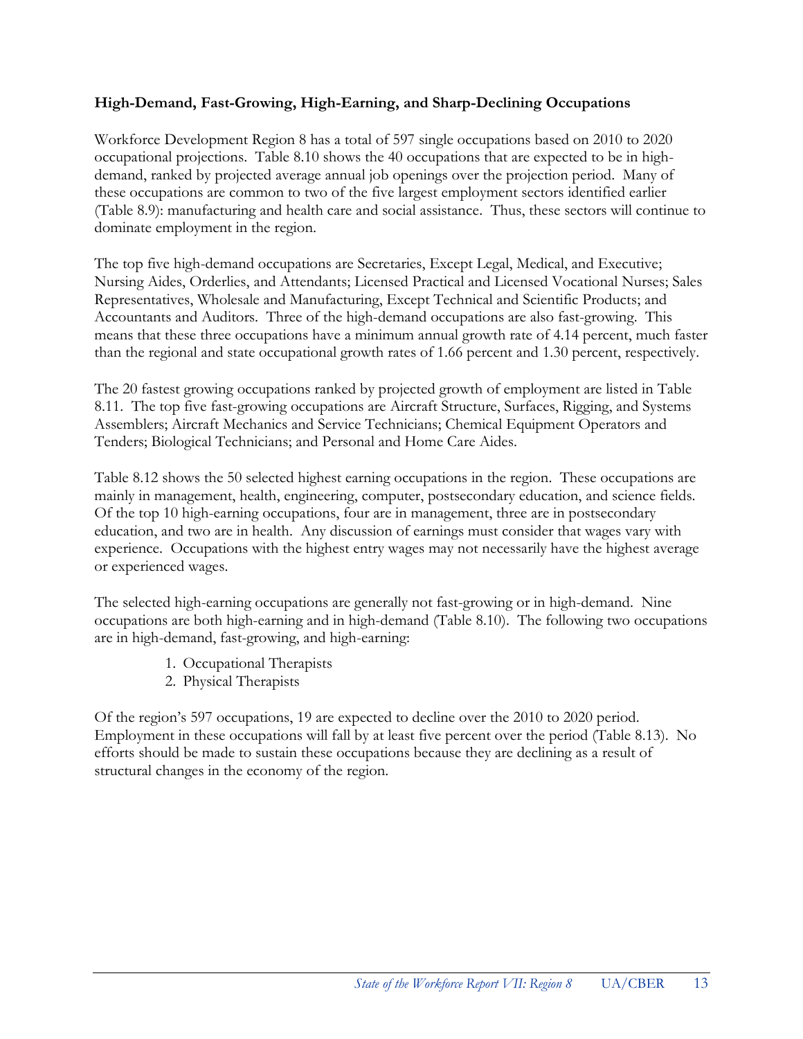#### **High-Demand, Fast-Growing, High-Earning, and Sharp-Declining Occupations**

Workforce Development Region 8 has a total of 597 single occupations based on 2010 to 2020 occupational projections. Table 8.10 shows the 40 occupations that are expected to be in highdemand, ranked by projected average annual job openings over the projection period. Many of these occupations are common to two of the five largest employment sectors identified earlier (Table 8.9): manufacturing and health care and social assistance. Thus, these sectors will continue to dominate employment in the region.

The top five high-demand occupations are Secretaries, Except Legal, Medical, and Executive; Nursing Aides, Orderlies, and Attendants; Licensed Practical and Licensed Vocational Nurses; Sales Representatives, Wholesale and Manufacturing, Except Technical and Scientific Products; and Accountants and Auditors. Three of the high-demand occupations are also fast-growing. This means that these three occupations have a minimum annual growth rate of 4.14 percent, much faster than the regional and state occupational growth rates of 1.66 percent and 1.30 percent, respectively.

The 20 fastest growing occupations ranked by projected growth of employment are listed in Table 8.11. The top five fast-growing occupations are Aircraft Structure, Surfaces, Rigging, and Systems Assemblers; Aircraft Mechanics and Service Technicians; Chemical Equipment Operators and Tenders; Biological Technicians; and Personal and Home Care Aides.

Table 8.12 shows the 50 selected highest earning occupations in the region. These occupations are mainly in management, health, engineering, computer, postsecondary education, and science fields. Of the top 10 high-earning occupations, four are in management, three are in postsecondary education, and two are in health. Any discussion of earnings must consider that wages vary with experience. Occupations with the highest entry wages may not necessarily have the highest average or experienced wages.

The selected high-earning occupations are generally not fast-growing or in high-demand. Nine occupations are both high-earning and in high-demand (Table 8.10). The following two occupations are in high-demand, fast-growing, and high-earning:

- 1. Occupational Therapists
- 2. Physical Therapists

Of the region's 597 occupations, 19 are expected to decline over the 2010 to 2020 period. Employment in these occupations will fall by at least five percent over the period (Table 8.13). No efforts should be made to sustain these occupations because they are declining as a result of structural changes in the economy of the region.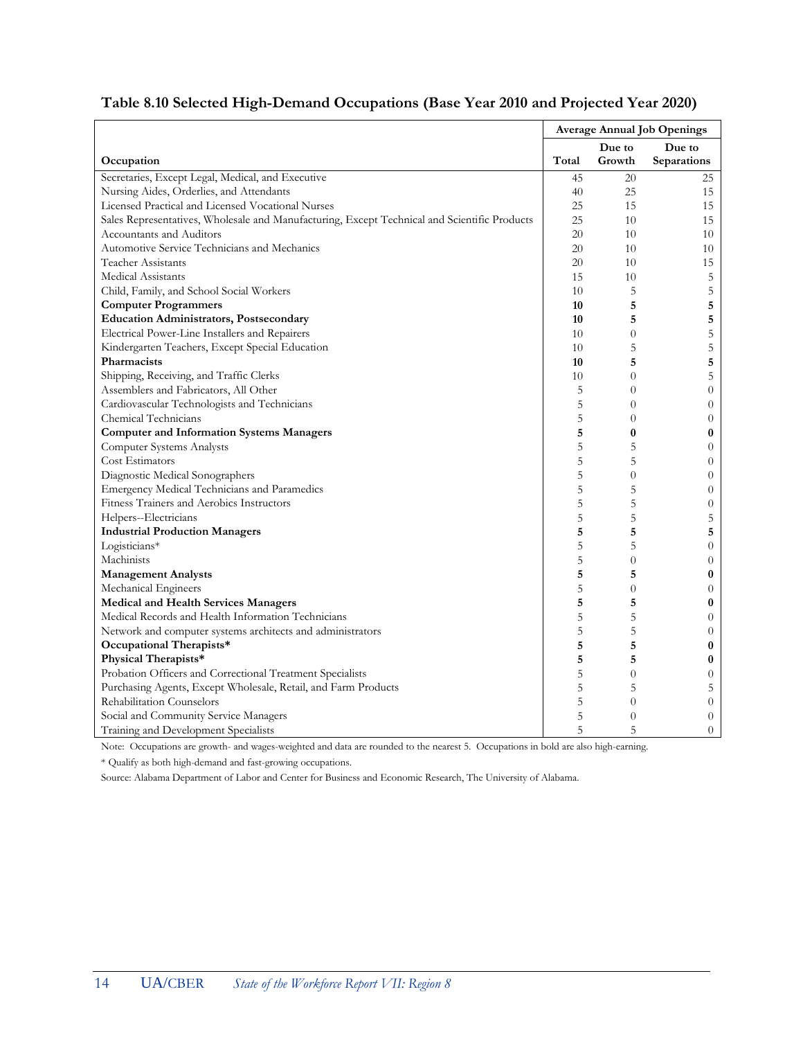|                                                                                              | <b>Average Annual Job Openings</b> |                |                  |
|----------------------------------------------------------------------------------------------|------------------------------------|----------------|------------------|
|                                                                                              |                                    | Due to         | Due to           |
| Occupation                                                                                   | Total                              | Growth         | Separations      |
| Secretaries, Except Legal, Medical, and Executive                                            | 45                                 | 20             | 25               |
| Nursing Aides, Orderlies, and Attendants                                                     | 40                                 | 25             | 15               |
| Licensed Practical and Licensed Vocational Nurses                                            | 25                                 | 15             | 15               |
| Sales Representatives, Wholesale and Manufacturing, Except Technical and Scientific Products | 25                                 | 10             | 15               |
| Accountants and Auditors                                                                     | 20                                 | 10             | 10               |
| Automotive Service Technicians and Mechanics                                                 | 20                                 | 10             | 10               |
| Teacher Assistants                                                                           | 20                                 | 10             | 15               |
| <b>Medical Assistants</b>                                                                    | 15                                 | 10             | 5                |
| Child, Family, and School Social Workers                                                     | 10                                 | 5              | 5                |
| <b>Computer Programmers</b>                                                                  | 10                                 | 5              | 5                |
| <b>Education Administrators, Postsecondary</b>                                               | 10                                 | 5              | 5                |
| Electrical Power-Line Installers and Repairers                                               | 10                                 | $\overline{0}$ | 5                |
| Kindergarten Teachers, Except Special Education                                              | 10                                 | 5              | 5                |
| Pharmacists                                                                                  | 10                                 | 5              | 5                |
| Shipping, Receiving, and Traffic Clerks                                                      | 10                                 | $\overline{0}$ | 5                |
| Assemblers and Fabricators, All Other                                                        | 5                                  | $\overline{0}$ | $\theta$         |
| Cardiovascular Technologists and Technicians                                                 | 5                                  | $\overline{0}$ | $\theta$         |
| Chemical Technicians                                                                         | 5                                  | $\overline{0}$ | $\theta$         |
| <b>Computer and Information Systems Managers</b>                                             | 5                                  | $\bf{0}$       | $\bf{0}$         |
| <b>Computer Systems Analysts</b>                                                             | 5                                  | 5              | $\boldsymbol{0}$ |
| Cost Estimators                                                                              | 5                                  | 5              | $\theta$         |
| Diagnostic Medical Sonographers                                                              | 5                                  | $\overline{0}$ | $\theta$         |
| Emergency Medical Technicians and Paramedics                                                 | 5                                  | 5              | $\theta$         |
| Fitness Trainers and Aerobics Instructors                                                    | 5                                  | 5              | $\boldsymbol{0}$ |
| Helpers--Electricians                                                                        | 5                                  | 5              | 5                |
| <b>Industrial Production Managers</b>                                                        | 5                                  | 5              | 5                |
| Logisticians*                                                                                | 5                                  | 5              | $\theta$         |
| Machinists                                                                                   | 5                                  | $\overline{0}$ | $\theta$         |
| <b>Management Analysts</b>                                                                   | 5                                  | 5              | $\bf{0}$         |
| Mechanical Engineers                                                                         | 5                                  | $\overline{0}$ | $\theta$         |
| <b>Medical and Health Services Managers</b>                                                  | 5                                  | 5              | $\bf{0}$         |
| Medical Records and Health Information Technicians                                           | 5                                  | 5              | $\overline{0}$   |
| Network and computer systems architects and administrators                                   | 5                                  | 5              | $\theta$         |
| Occupational Therapists*                                                                     | 5                                  | 5              | $\boldsymbol{0}$ |
| Physical Therapists*                                                                         | 5                                  | 5              | $\bf{0}$         |
| Probation Officers and Correctional Treatment Specialists                                    | 5                                  | $\overline{0}$ | $\theta$         |
| Purchasing Agents, Except Wholesale, Retail, and Farm Products                               | 5                                  | 5              | 5                |
| Rehabilitation Counselors                                                                    | 5                                  | $\overline{0}$ | $\theta$         |
| Social and Community Service Managers                                                        | 5                                  | $\overline{0}$ | $\overline{0}$   |
| Training and Development Specialists                                                         | 5                                  | 5              | $\theta$         |

## **Table 8.10 Selected High-Demand Occupations (Base Year 2010 and Projected Year 2020)**

Note: Occupations are growth- and wages-weighted and data are rounded to the nearest 5. Occupations in bold are also high-earning.

\* Qualify as both high-demand and fast-growing occupations.

Source: Alabama Department of Labor and Center for Business and Economic Research, The University of Alabama.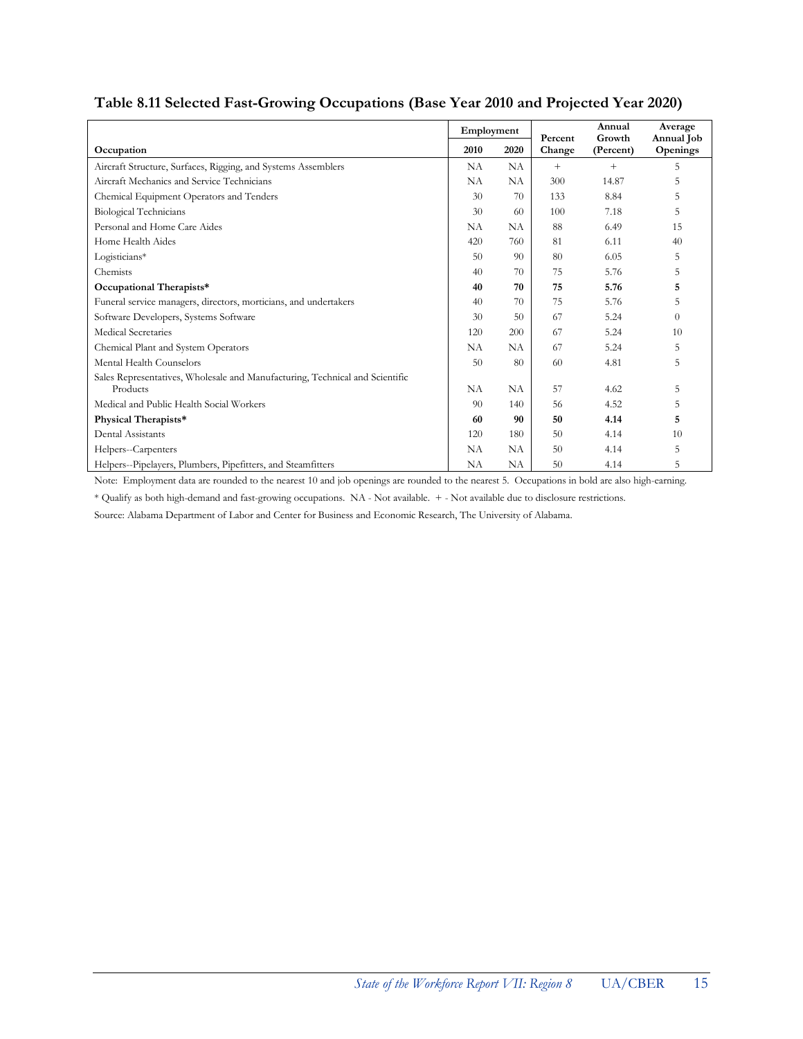|                                                                                          | Employment |      | Percent | Annual<br>Growth | Average<br>Annual Job |
|------------------------------------------------------------------------------------------|------------|------|---------|------------------|-----------------------|
| Occupation                                                                               | 2010       | 2020 | Change  | (Percent)        | <b>Openings</b>       |
| Aircraft Structure, Surfaces, Rigging, and Systems Assemblers                            | NA         | NA   | $+$     | $+$              | 5.                    |
| Aircraft Mechanics and Service Technicians                                               | NA         | NA   | 300     | 14.87            | 5                     |
| Chemical Equipment Operators and Tenders                                                 | 30         | 70   | 133     | 8.84             | 5                     |
| <b>Biological Technicians</b>                                                            | 30         | 60   | 100     | 7.18             | 5                     |
| Personal and Home Care Aides                                                             | NA         | NA   | 88      | 6.49             | 15                    |
| Home Health Aides                                                                        | 420        | 760  | 81      | 6.11             | 40                    |
| Logisticians*                                                                            | 50         | 90   | 80      | 6.05             | 5                     |
| Chemists                                                                                 | 40         | 70   | 75      | 5.76             | 5                     |
| Occupational Therapists*                                                                 | 40         | 70   | 75      | 5.76             | 5                     |
| Funeral service managers, directors, morticians, and undertakers                         | 40         | 70   | 75      | 5.76             | 5                     |
| Software Developers, Systems Software                                                    | 30         | 50   | 67      | 5.24             | $\theta$              |
| Medical Secretaries                                                                      | 120        | 200  | 67      | 5.24             | 10                    |
| Chemical Plant and System Operators                                                      | <b>NA</b>  | NA   | 67      | 5.24             | 5                     |
| Mental Health Counselors                                                                 | 50         | 80   | 60      | 4.81             | 5                     |
| Sales Representatives, Wholesale and Manufacturing, Technical and Scientific<br>Products | NA         | NA   | 57      | 4.62             | 5                     |
| Medical and Public Health Social Workers                                                 | 90         | 140  | 56      | 4.52             | 5                     |
| Physical Therapists*                                                                     | 60         | 90   | 50      | 4.14             | 5                     |
| Dental Assistants                                                                        | 120        | 180  | 50      | 4.14             | 10                    |
| Helpers--Carpenters                                                                      | <b>NA</b>  | NA   | 50      | 4.14             | 5                     |
| Helpers--Pipelayers, Plumbers, Pipefitters, and Steamfitters                             | NA         | NA   | 50      | 4.14             | 5                     |

## **Table 8.11 Selected Fast-Growing Occupations (Base Year 2010 and Projected Year 2020)**

Note: Employment data are rounded to the nearest 10 and job openings are rounded to the nearest 5. Occupations in bold are also high-earning.

\* Qualify as both high-demand and fast-growing occupations. NA - Not available. + - Not available due to disclosure restrictions.

Source: Alabama Department of Labor and Center for Business and Economic Research, The University of Alabama.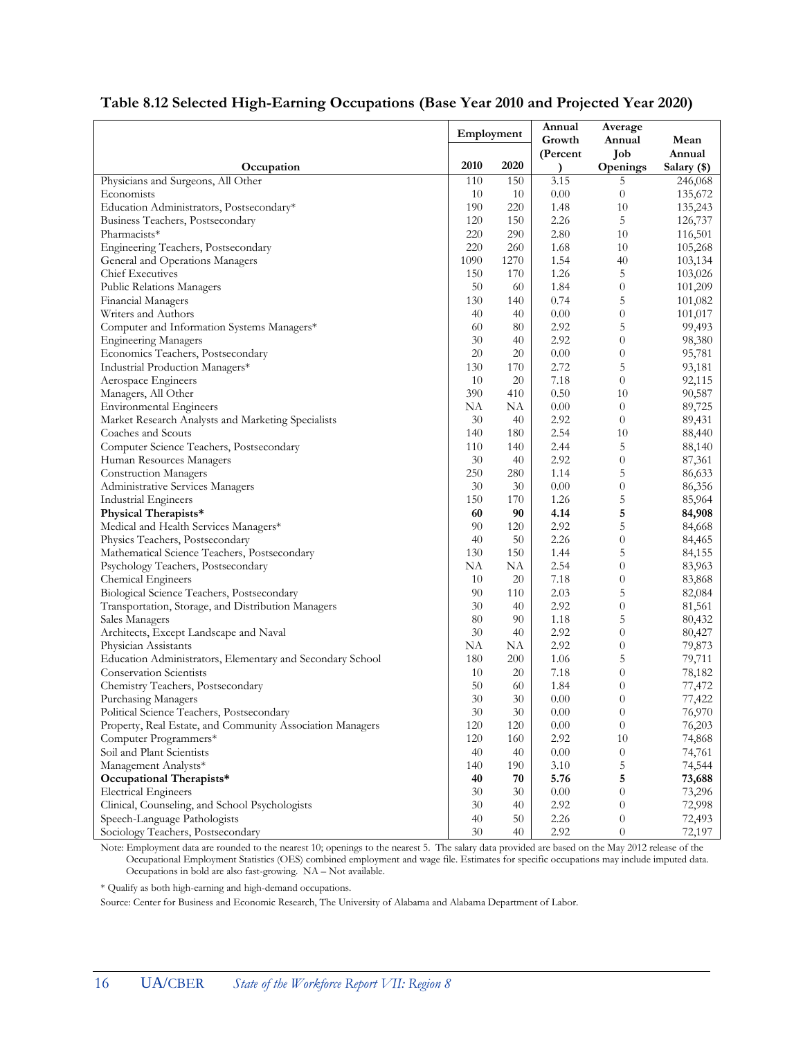|                                                           | Employment |           | Annual    | Average          |                  |
|-----------------------------------------------------------|------------|-----------|-----------|------------------|------------------|
|                                                           |            |           | Growth    | Annual           | Mean             |
|                                                           |            |           | (Percent  | Job              | Annual           |
| Occupation                                                | 2010       | 2020      | $\lambda$ | Openings         | Salary (\$)      |
| Physicians and Surgeons, All Other                        | 110        | 150       | 3.15      | 5                | 246,068          |
| Economists                                                | 10         | 10        | 0.00      | $\overline{0}$   | 135,672          |
| Education Administrators, Postsecondary*                  | 190        | 220       | 1.48      | 10               | 135,243          |
| Business Teachers, Postsecondary                          | 120        | 150       | 2.26      | 5                | 126,737          |
| Pharmacists*                                              | 220        | 290       | 2.80      | 10               | 116,501          |
| Engineering Teachers, Postsecondary                       | 220        | 260       | 1.68      | 10               | 105,268          |
| General and Operations Managers                           | 1090       | 1270      | 1.54      | 40               | 103,134          |
| <b>Chief Executives</b>                                   | 150        | 170       | 1.26      | 5                | 103,026          |
| Public Relations Managers                                 | 50         | 60        | 1.84      | $\theta$         | 101,209          |
| Financial Managers                                        | 130        | 140       | 0.74      | 5                | 101,082          |
| Writers and Authors                                       | 40         | 40        | 0.00      | $\boldsymbol{0}$ | 101,017          |
| Computer and Information Systems Managers*                | 60         | 80        | 2.92      | 5                | 99,493           |
| <b>Engineering Managers</b>                               | 30         | 40        | 2.92      | $\overline{0}$   | 98,380           |
| Economics Teachers, Postsecondary                         | 20         | 20        | 0.00      | $\overline{0}$   | 95,781           |
| Industrial Production Managers*                           | 130        | 170       | 2.72      | 5                | 93,181           |
| Aerospace Engineers                                       | 10         | 20        | 7.18      | $\boldsymbol{0}$ | 92,115           |
| Managers, All Other                                       | 390        | 410       | 0.50      | 10               | 90,587           |
| <b>Environmental Engineers</b>                            | NA         | NA        | 0.00      | $\overline{0}$   | 89,725           |
| Market Research Analysts and Marketing Specialists        | 30         | 40        | 2.92      | $\overline{0}$   | 89,431           |
| Coaches and Scouts                                        | 140        | 180       | 2.54      | 10               | 88,440           |
| Computer Science Teachers, Postsecondary                  | 110        | 140       | 2.44      | 5                | 88,140           |
| Human Resources Managers                                  | 30         | 40        | 2.92      | $\overline{0}$   | 87,361           |
| <b>Construction Managers</b>                              | 250        | 280       | 1.14      | 5                | 86,633           |
| Administrative Services Managers                          | 30         | 30        | 0.00      | $\boldsymbol{0}$ | 86,356           |
| <b>Industrial Engineers</b>                               | 150        | 170       | 1.26      | 5                | 85,964           |
| Physical Therapists*                                      | 60         | 90        | 4.14      | 5                | 84,908           |
| Medical and Health Services Managers*                     | 90         | 120       | 2.92      | 5                | 84,668           |
| Physics Teachers, Postsecondary                           | 40         | 50        | 2.26      | $\theta$         | 84,465           |
| Mathematical Science Teachers, Postsecondary              | 130        | 150       | 1.44      | 5                | 84,155           |
| Psychology Teachers, Postsecondary                        | NA         | NA        | 2.54      | $\overline{0}$   | 83,963           |
| <b>Chemical Engineers</b>                                 | 10         | 20        | 7.18      | $\boldsymbol{0}$ | 83,868           |
| Biological Science Teachers, Postsecondary                | 90         | 110       | 2.03      | 5                | 82,084           |
| Transportation, Storage, and Distribution Managers        | 30         | 40        | 2.92      | $\boldsymbol{0}$ | 81,561           |
| Sales Managers                                            | 80         | 90        | 1.18      | 5                | 80,432           |
| Architects, Except Landscape and Naval                    | 30         | 40        | 2.92      | $\theta$         | 80,427           |
| Physician Assistants                                      | NA         | NΑ        | 2.92      | $\theta$         | 79,873           |
| Education Administrators, Elementary and Secondary School | 180        | 200       | 1.06      | 5                | 79,711           |
| Conservation Scientists                                   | 10         | 20        | 7.18      | $\theta$         | 78,182           |
| Chemistry Teachers, Postsecondary                         | 50         | 60        | 1.84      | $\theta$         | 77,472           |
| Purchasing Managers                                       | 30         | 30        | 0.00      | $\theta$         | 77,422           |
| Political Science Teachers, Postsecondary                 | 30         | 30        | 0.00      | $\theta$         | 76,970           |
| Property, Real Estate, and Community Association Managers | 120        | 120       | 0.00      | $\overline{0}$   | 76,203           |
| Computer Programmers*                                     | 120        | 160       | 2.92      | 10               | 74,868           |
| Soil and Plant Scientists                                 | 40         | 40        | 0.00      | $\theta$         | 74,761           |
| Management Analysts*                                      |            |           | 3.10      | 5                |                  |
| Occupational Therapists*                                  | 140<br>40  | 190<br>70 | 5.76      | 5                | 74,544<br>73,688 |
| <b>Electrical Engineers</b>                               | 30         | 30        | 0.00      | $\overline{0}$   | 73,296           |
|                                                           | 30         |           | 2.92      | $\overline{0}$   | 72,998           |
| Clinical, Counseling, and School Psychologists            | 40         | 40<br>50  |           |                  |                  |
| Speech-Language Pathologists                              |            |           | 2.26      | $\theta$         | 72,493           |
| Sociology Teachers, Postsecondary                         | 30         | 40        | 2.92      | $\overline{0}$   | 72,197           |

#### **Table 8.12 Selected High-Earning Occupations (Base Year 2010 and Projected Year 2020)**

Note: Employment data are rounded to the nearest 10; openings to the nearest 5. The salary data provided are based on the May 2012 release of the Occupational Employment Statistics (OES) combined employment and wage file. Estimates for specific occupations may include imputed data. Occupations in bold are also fast-growing. NA – Not available.

\* Qualify as both high-earning and high-demand occupations.

Source: Center for Business and Economic Research, The University of Alabama and Alabama Department of Labor.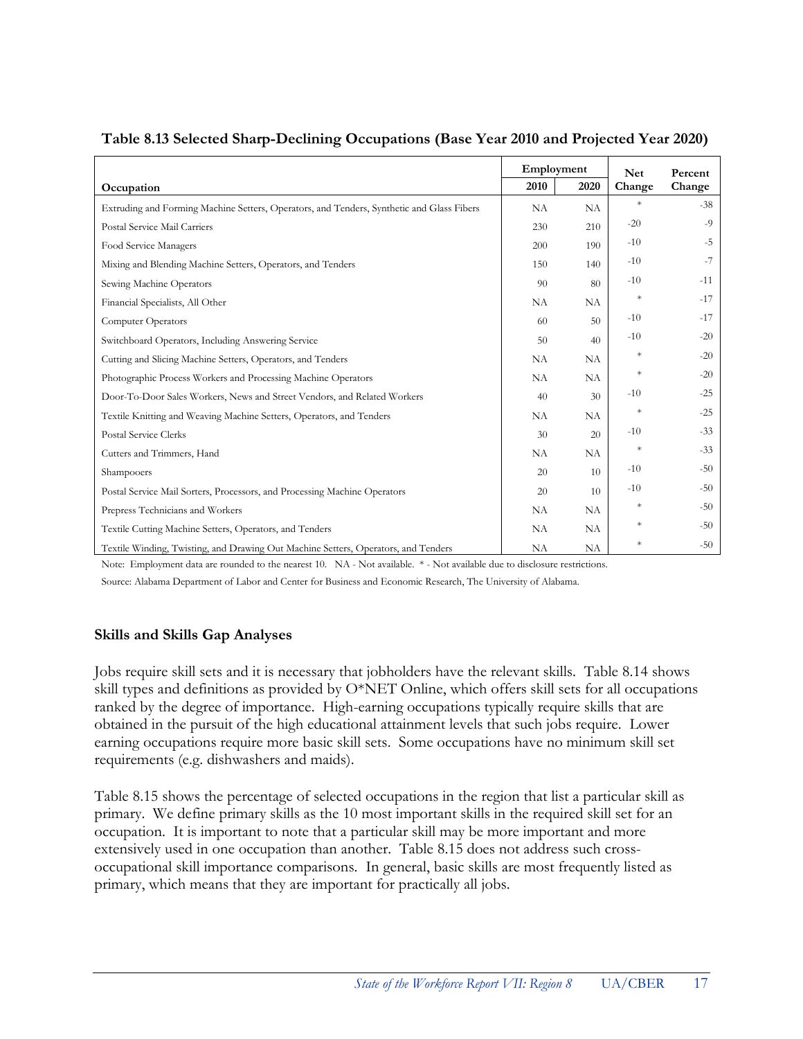|                                                                                           | Employment |           | <b>Net</b> | Percent |
|-------------------------------------------------------------------------------------------|------------|-----------|------------|---------|
| Occupation                                                                                | 2010       | 2020      | Change     | Change  |
| Extruding and Forming Machine Setters, Operators, and Tenders, Synthetic and Glass Fibers | NA         | NA        | $\ast$     | $-38$   |
| Postal Service Mail Carriers                                                              | 230        | 210       | $-20$      | $-9$    |
| Food Service Managers                                                                     | 200        | 190       | $-10$      | $-5$    |
| Mixing and Blending Machine Setters, Operators, and Tenders                               | 150        | 140       | $-10$      | $-7$    |
| Sewing Machine Operators                                                                  | 90         | 80        | $-10$      | $-11$   |
| Financial Specialists, All Other                                                          | NA         | NА        | $\ast$     | $-17$   |
| <b>Computer Operators</b>                                                                 | 60         | 50        | $-10$      | $-17$   |
| Switchboard Operators, Including Answering Service                                        | 50         | 40        | $-10$      | $-20$   |
| Cutting and Slicing Machine Setters, Operators, and Tenders                               | NA         | <b>NA</b> | $\ast$     | $-20$   |
| Photographic Process Workers and Processing Machine Operators                             | NA         | NA        | $\ast$     | $-20$   |
| Door-To-Door Sales Workers, News and Street Vendors, and Related Workers                  | 40         | 30        | $-10$      | $-25$   |
| Textile Knitting and Weaving Machine Setters, Operators, and Tenders                      | NA         | NA        | $\ast$     | $-25$   |
| <b>Postal Service Clerks</b>                                                              | 30         | 20        | $-10$      | $-33$   |
| Cutters and Trimmers, Hand                                                                | NA         | NA        | $\ast$     | $-33$   |
| Shampooers                                                                                | 20         | 10        | $-10$      | $-50$   |
| Postal Service Mail Sorters, Processors, and Processing Machine Operators                 | 20         | 10        | $-10$      | $-50$   |
| Prepress Technicians and Workers                                                          | NA         | NA        | $\ast$     | $-50$   |
| Textile Cutting Machine Setters, Operators, and Tenders                                   | NA         | <b>NA</b> | $\ast$     | $-50$   |
| Textile Winding, Twisting, and Drawing Out Machine Setters, Operators, and Tenders        | <b>NA</b>  | NA        | $\ast$     | $-50$   |

#### **Table 8.13 Selected Sharp-Declining Occupations (Base Year 2010 and Projected Year 2020)**

Note: Employment data are rounded to the nearest 10. NA - Not available. \* - Not available due to disclosure restrictions.

Source: Alabama Department of Labor and Center for Business and Economic Research, The University of Alabama.

#### **Skills and Skills Gap Analyses**

Jobs require skill sets and it is necessary that jobholders have the relevant skills. Table 8.14 shows skill types and definitions as provided by  $O^*NET$  Online, which offers skill sets for all occupations ranked by the degree of importance. High-earning occupations typically require skills that are obtained in the pursuit of the high educational attainment levels that such jobs require. Lower earning occupations require more basic skill sets. Some occupations have no minimum skill set requirements (e.g. dishwashers and maids).

Table 8.15 shows the percentage of selected occupations in the region that list a particular skill as primary. We define primary skills as the 10 most important skills in the required skill set for an occupation. It is important to note that a particular skill may be more important and more extensively used in one occupation than another. Table 8.15 does not address such crossoccupational skill importance comparisons. In general, basic skills are most frequently listed as primary, which means that they are important for practically all jobs.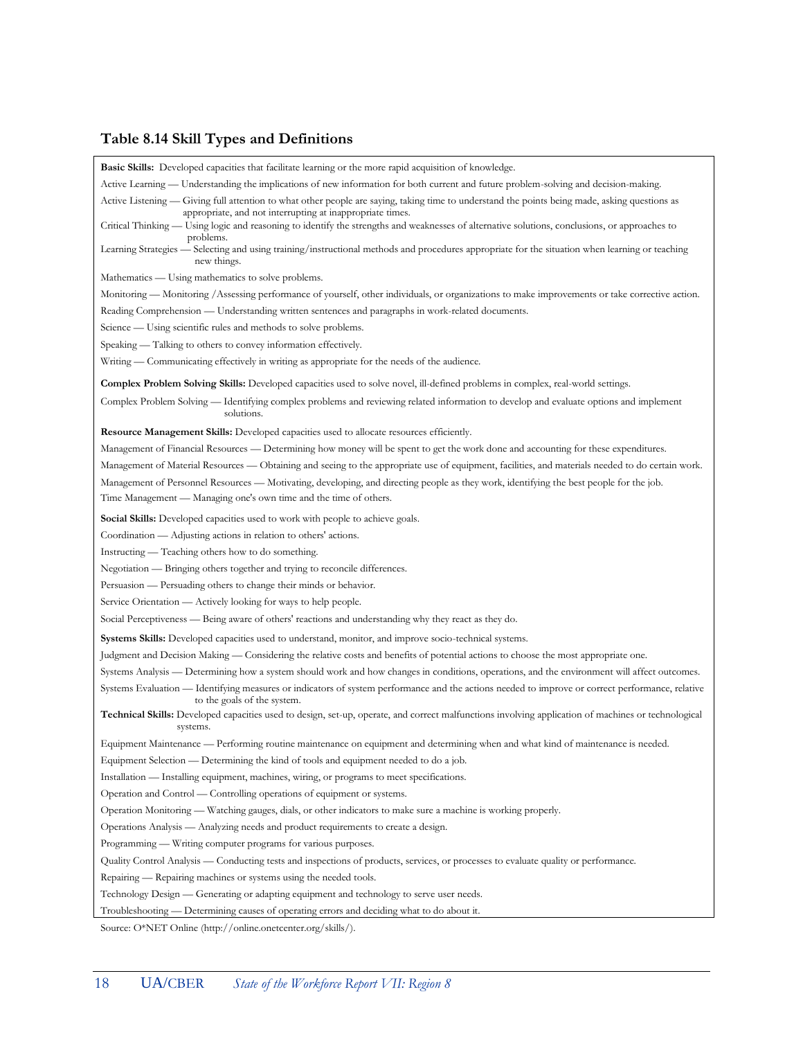# **Table 8.14 Skill Types and Definitions**

| <b>Basic Skills:</b> Developed capacities that facilitate learning or the more rapid acquisition of knowledge.                                                                                              |
|-------------------------------------------------------------------------------------------------------------------------------------------------------------------------------------------------------------|
| Active Learning — Understanding the implications of new information for both current and future problem-solving and decision-making.                                                                        |
| Active Listening - Giving full attention to what other people are saying, taking time to understand the points being made, asking questions as<br>appropriate, and not interrupting at inappropriate times. |
| Critical Thinking — Using logic and reasoning to identify the strengths and weaknesses of alternative solutions, conclusions, or approaches to                                                              |
| problems.<br>Learning Strategies — Selecting and using training/instructional methods and procedures appropriate for the situation when learning or teaching<br>new things.                                 |
| Mathematics — Using mathematics to solve problems.                                                                                                                                                          |
| Monitoring — Monitoring / Assessing performance of yourself, other individuals, or organizations to make improvements or take corrective action.                                                            |
| Reading Comprehension — Understanding written sentences and paragraphs in work-related documents.                                                                                                           |
| Science — Using scientific rules and methods to solve problems.                                                                                                                                             |
| Speaking — Talking to others to convey information effectively.                                                                                                                                             |
| Writing — Communicating effectively in writing as appropriate for the needs of the audience.                                                                                                                |
| <b>Complex Problem Solving Skills:</b> Developed capacities used to solve novel, ill-defined problems in complex, real-world settings.                                                                      |
| Complex Problem Solving — Identifying complex problems and reviewing related information to develop and evaluate options and implement                                                                      |
| solutions.                                                                                                                                                                                                  |
| <b>Resource Management Skills:</b> Developed capacities used to allocate resources efficiently.                                                                                                             |
| Management of Financial Resources — Determining how money will be spent to get the work done and accounting for these expenditures.                                                                         |
| Management of Material Resources — Obtaining and seeing to the appropriate use of equipment, facilities, and materials needed to do certain work.                                                           |
| Management of Personnel Resources — Motivating, developing, and directing people as they work, identifying the best people for the job.                                                                     |
| Time Management — Managing one's own time and the time of others.                                                                                                                                           |
| <b>Social Skills:</b> Developed capacities used to work with people to achieve goals.                                                                                                                       |
| Coordination — Adjusting actions in relation to others' actions.                                                                                                                                            |
| Instructing — Teaching others how to do something.                                                                                                                                                          |
| Negotiation — Bringing others together and trying to reconcile differences.                                                                                                                                 |
| Persuasion — Persuading others to change their minds or behavior.                                                                                                                                           |
| Service Orientation — Actively looking for ways to help people.                                                                                                                                             |
| Social Perceptiveness — Being aware of others' reactions and understanding why they react as they do.                                                                                                       |
| <b>Systems Skills:</b> Developed capacities used to understand, monitor, and improve socio-technical systems.                                                                                               |
| Judgment and Decision Making — Considering the relative costs and benefits of potential actions to choose the most appropriate one.                                                                         |
| Systems Analysis — Determining how a system should work and how changes in conditions, operations, and the environment will affect outcomes.                                                                |
| Systems Evaluation — Identifying measures or indicators of system performance and the actions needed to improve or correct performance, relative<br>to the goals of the system.                             |
| Technical Skills: Developed capacities used to design, set-up, operate, and correct malfunctions involving application of machines or technological<br>systems.                                             |
| Equipment Maintenance — Performing routine maintenance on equipment and determining when and what kind of maintenance is needed.                                                                            |
| Equipment Selection — Determining the kind of tools and equipment needed to do a job.                                                                                                                       |
| Installation — Installing equipment, machines, wiring, or programs to meet specifications.                                                                                                                  |
| Operation and Control — Controlling operations of equipment or systems.                                                                                                                                     |
| Operation Monitoring — Watching gauges, dials, or other indicators to make sure a machine is working properly.                                                                                              |
| Operations Analysis - Analyzing needs and product requirements to create a design.                                                                                                                          |
| Programming - Writing computer programs for various purposes.                                                                                                                                               |
| Quality Control Analysis — Conducting tests and inspections of products, services, or processes to evaluate quality or performance.                                                                         |
| Repairing — Repairing machines or systems using the needed tools.                                                                                                                                           |
| Technology Design — Generating or adapting equipment and technology to serve user needs.                                                                                                                    |
| Troubleshooting — Determining causes of operating errors and deciding what to do about it.                                                                                                                  |

Source: O\*NET Online (http://online.onetcenter.org/skills/).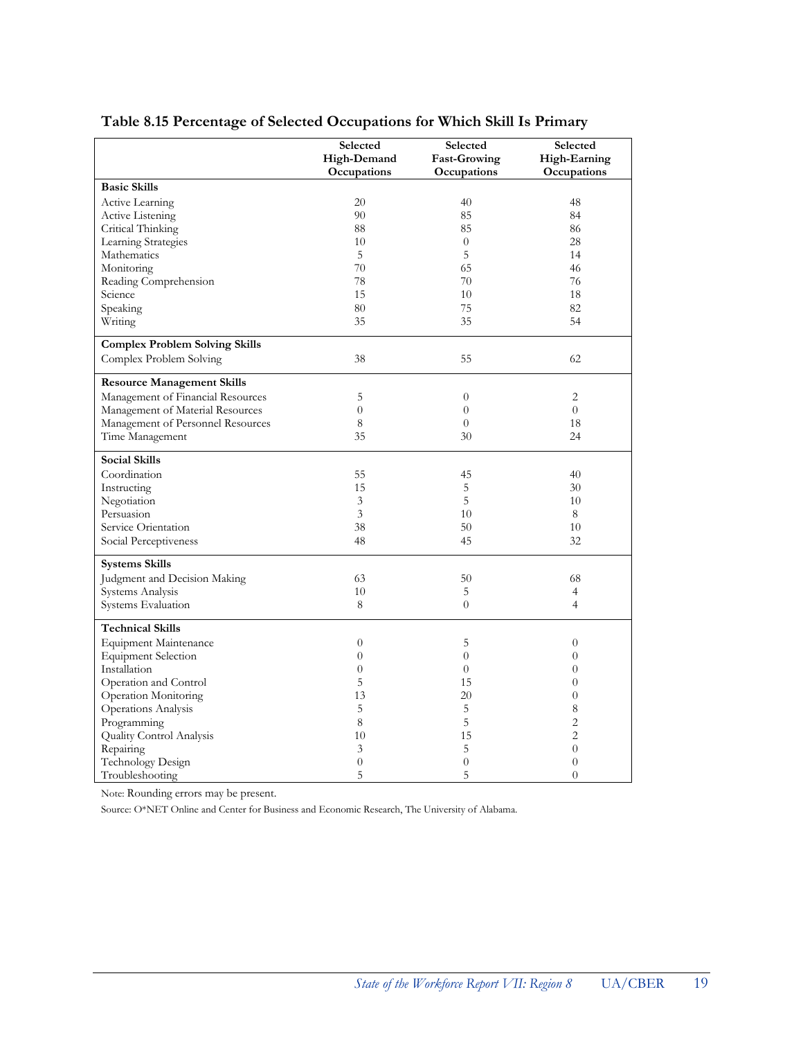|                                       | Selected       | Selected            | Selected       |
|---------------------------------------|----------------|---------------------|----------------|
|                                       | High-Demand    | <b>Fast-Growing</b> | High-Earning   |
|                                       | Occupations    | Occupations         | Occupations    |
| <b>Basic Skills</b>                   |                |                     |                |
| <b>Active Learning</b>                | 20             | 40                  | 48             |
| Active Listening                      | 90             | 85                  | 84             |
| Critical Thinking                     | 88             | 85                  | 86             |
| Learning Strategies                   | 10             | $\overline{0}$      | 28             |
| Mathematics                           | 5              | 5                   | 14             |
| Monitoring                            | 70             | 65                  | 46             |
| Reading Comprehension                 | 78             | 70                  | 76             |
| Science                               | 15             | 10                  | 18             |
| Speaking                              | 80             | 75                  | 82             |
| Writing                               | 35             | 35                  | 54             |
|                                       |                |                     |                |
| <b>Complex Problem Solving Skills</b> |                |                     |                |
| Complex Problem Solving               | 38             | 55                  | 62             |
| <b>Resource Management Skills</b>     |                |                     |                |
| Management of Financial Resources     | 5              | $\overline{0}$      | $\overline{2}$ |
| Management of Material Resources      | $\overline{0}$ | $\overline{0}$      | $\theta$       |
| Management of Personnel Resources     | 8              | $\overline{0}$      | 18             |
| Time Management                       | 35             | 30                  | 24             |
| <b>Social Skills</b>                  |                |                     |                |
| Coordination                          | 55             | 45                  | 40             |
| Instructing                           | 15             | 5                   | 30             |
| Negotiation                           | 3              | 5                   | 10             |
| Persuasion                            | 3              | 10                  | 8              |
| Service Orientation                   | 38             | 50                  | 10             |
| Social Perceptiveness                 | 48             | 45                  | 32             |
| <b>Systems Skills</b>                 |                |                     |                |
| Judgment and Decision Making          | 63             | 50                  | 68             |
| Systems Analysis                      | 10             | 5                   | 4              |
| Systems Evaluation                    | 8              | $\overline{0}$      | $\overline{4}$ |
| <b>Technical Skills</b>               |                |                     |                |
| <b>Equipment Maintenance</b>          | $\overline{0}$ | 5                   | $\theta$       |
| <b>Equipment Selection</b>            | $\overline{0}$ | $\overline{0}$      | $\theta$       |
| Installation                          | $\overline{0}$ | $\overline{0}$      | $\overline{0}$ |
| Operation and Control                 | 5              | 15                  | $\theta$       |
| Operation Monitoring                  | 13             | 20                  | $\overline{0}$ |
| Operations Analysis                   | 5              | 5                   | 8              |
|                                       | 8              | 5                   | $\overline{2}$ |
| Programming                           | 10             | 15                  | $\overline{2}$ |
| Quality Control Analysis<br>Repairing | 3              | 5                   | $\theta$       |
| Technology Design                     | $\overline{0}$ | $\overline{0}$      | $\theta$       |
|                                       | 5              | 5                   | $\overline{0}$ |
| Troubleshooting                       |                |                     |                |

#### **Table 8.15 Percentage of Selected Occupations for Which Skill Is Primary**

Note: Rounding errors may be present.

Source: O\*NET Online and Center for Business and Economic Research, The University of Alabama.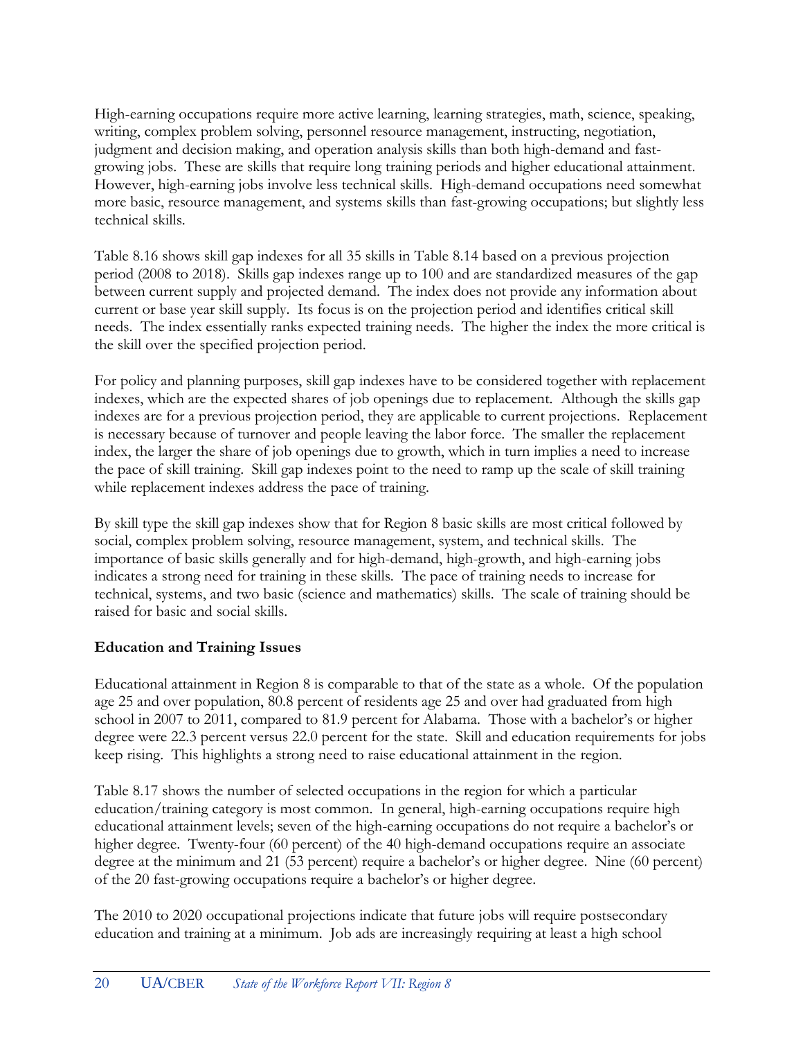High-earning occupations require more active learning, learning strategies, math, science, speaking, writing, complex problem solving, personnel resource management, instructing, negotiation, judgment and decision making, and operation analysis skills than both high-demand and fastgrowing jobs. These are skills that require long training periods and higher educational attainment. However, high-earning jobs involve less technical skills. High-demand occupations need somewhat more basic, resource management, and systems skills than fast-growing occupations; but slightly less technical skills.

Table 8.16 shows skill gap indexes for all 35 skills in Table 8.14 based on a previous projection period (2008 to 2018). Skills gap indexes range up to 100 and are standardized measures of the gap between current supply and projected demand. The index does not provide any information about current or base year skill supply. Its focus is on the projection period and identifies critical skill needs. The index essentially ranks expected training needs. The higher the index the more critical is the skill over the specified projection period.

For policy and planning purposes, skill gap indexes have to be considered together with replacement indexes, which are the expected shares of job openings due to replacement. Although the skills gap indexes are for a previous projection period, they are applicable to current projections. Replacement is necessary because of turnover and people leaving the labor force. The smaller the replacement index, the larger the share of job openings due to growth, which in turn implies a need to increase the pace of skill training. Skill gap indexes point to the need to ramp up the scale of skill training while replacement indexes address the pace of training.

By skill type the skill gap indexes show that for Region 8 basic skills are most critical followed by social, complex problem solving, resource management, system, and technical skills. The importance of basic skills generally and for high-demand, high-growth, and high-earning jobs indicates a strong need for training in these skills. The pace of training needs to increase for technical, systems, and two basic (science and mathematics) skills. The scale of training should be raised for basic and social skills.

#### **Education and Training Issues**

Educational attainment in Region 8 is comparable to that of the state as a whole. Of the population age 25 and over population, 80.8 percent of residents age 25 and over had graduated from high school in 2007 to 2011, compared to 81.9 percent for Alabama. Those with a bachelor's or higher degree were 22.3 percent versus 22.0 percent for the state. Skill and education requirements for jobs keep rising. This highlights a strong need to raise educational attainment in the region.

Table 8.17 shows the number of selected occupations in the region for which a particular education/training category is most common. In general, high-earning occupations require high educational attainment levels; seven of the high-earning occupations do not require a bachelor's or higher degree. Twenty-four (60 percent) of the 40 high-demand occupations require an associate degree at the minimum and 21 (53 percent) require a bachelor's or higher degree. Nine (60 percent) of the 20 fast-growing occupations require a bachelor's or higher degree.

The 2010 to 2020 occupational projections indicate that future jobs will require postsecondary education and training at a minimum. Job ads are increasingly requiring at least a high school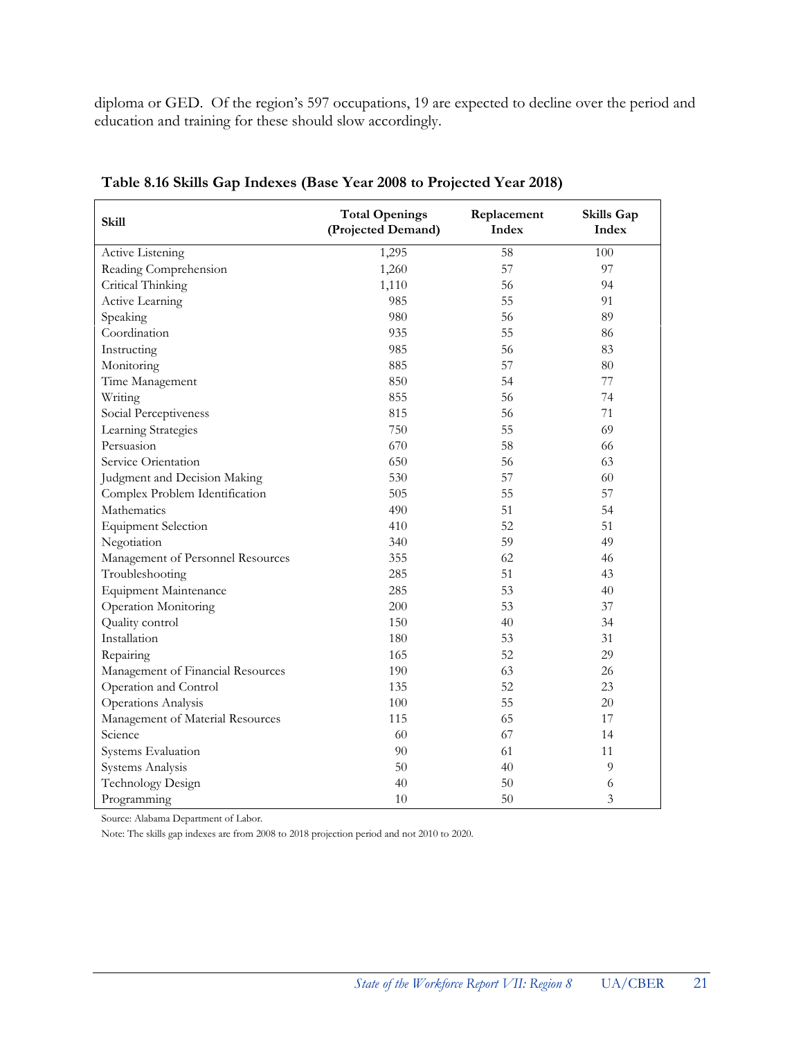diploma or GED. Of the region's 597 occupations, 19 are expected to decline over the period and education and training for these should slow accordingly.

| <b>Skill</b>                      | <b>Total Openings</b><br>(Projected Demand) | Replacement<br>Index | Skills Gap<br>Index |
|-----------------------------------|---------------------------------------------|----------------------|---------------------|
| Active Listening                  | 1,295                                       | 58                   | 100                 |
| Reading Comprehension             | 1,260                                       | 57                   | 97                  |
| Critical Thinking                 | 1,110                                       | 56                   | 94                  |
| Active Learning                   | 985                                         | 55                   | 91                  |
| Speaking                          | 980                                         | 56                   | 89                  |
| Coordination                      | 935                                         | 55                   | 86                  |
| Instructing                       | 985                                         | 56                   | 83                  |
| Monitoring                        | 885                                         | 57                   | 80                  |
| Time Management                   | 850                                         | 54                   | 77                  |
| Writing                           | 855                                         | 56                   | 74                  |
| Social Perceptiveness             | 815                                         | 56                   | 71                  |
| Learning Strategies               | 750                                         | 55                   | 69                  |
| Persuasion                        | 670                                         | 58                   | 66                  |
| Service Orientation               | 650                                         | 56                   | 63                  |
| Judgment and Decision Making      | 530                                         | 57                   | 60                  |
| Complex Problem Identification    | 505                                         | 55                   | 57                  |
| Mathematics                       | 490                                         | 51                   | 54                  |
| <b>Equipment Selection</b>        | 410                                         | 52                   | 51                  |
| Negotiation                       | 340                                         | 59                   | 49                  |
| Management of Personnel Resources | 355                                         | 62                   | 46                  |
| Troubleshooting                   | 285                                         | 51                   | 43                  |
| <b>Equipment Maintenance</b>      | 285                                         | 53                   | 40                  |
| Operation Monitoring              | 200                                         | 53                   | 37                  |
| Quality control                   | 150                                         | 40                   | 34                  |
| Installation                      | 180                                         | 53                   | 31                  |
| Repairing                         | 165                                         | 52                   | 29                  |
| Management of Financial Resources | 190                                         | 63                   | 26                  |
| Operation and Control             | 135                                         | 52                   | 23                  |
| <b>Operations Analysis</b>        | 100                                         | 55                   | 20                  |
| Management of Material Resources  | 115                                         | 65                   | 17                  |
| Science                           | 60                                          | 67                   | 14                  |
| Systems Evaluation                | 90                                          | 61                   | 11                  |
| Systems Analysis                  | 50                                          | 40                   | 9                   |
| Technology Design                 | 40                                          | 50                   | 6                   |
| Programming                       | 10                                          | 50                   | 3                   |

**Table 8.16 Skills Gap Indexes (Base Year 2008 to Projected Year 2018)**

Source: Alabama Department of Labor.

Note: The skills gap indexes are from 2008 to 2018 projection period and not 2010 to 2020.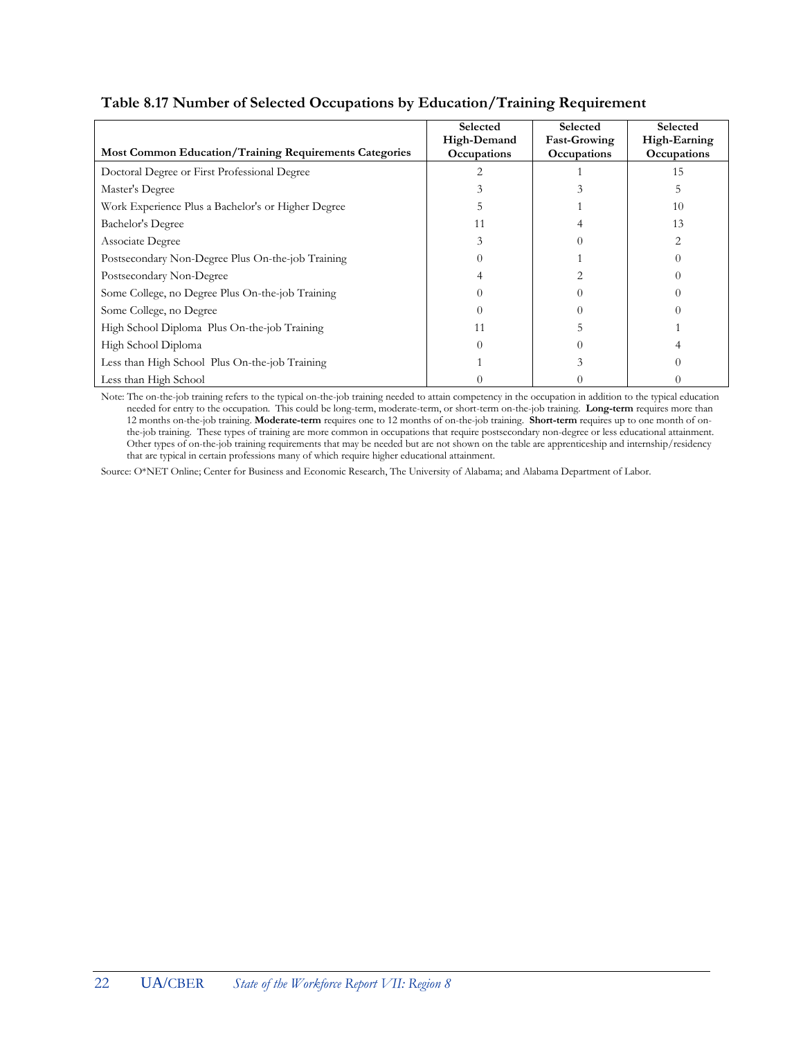|                                                               | Selected           | Selected            | Selected           |
|---------------------------------------------------------------|--------------------|---------------------|--------------------|
|                                                               | High-Demand        | <b>Fast-Growing</b> | High-Earning       |
| <b>Most Common Education/Training Requirements Categories</b> | <b>Occupations</b> | <b>Occupations</b>  | <b>Occupations</b> |
| Doctoral Degree or First Professional Degree                  |                    |                     |                    |

Master's Degree 5 3 3 5 5 3 5 5 2 3 4 5 5 2 3 4 5 5 2 3 4 5 5 2 3 4 5 2 3 4 5 2 3 4 5 2 3 4 5 2 3 4 5 2 3 4 5 2 3 4 5 2 3 4 5 2 3 4 5 2 3 4 5 2 3 4 5 2 3 4 5 2 3 4 5 2 3 4 5 2 3 4 5 2 3 4 5 2 3 4 5 2 3 4 5 2 3 4 5 2 3 4 5 Work Experience Plus a Bachelor's or Higher Degree 5 1 10 10 Bachelor's Degree 11 4 13 Associate Degree 3 0 2 Postsecondary Non-Degree Plus On-the-job Training 0 0 1 0 0 1 0 0 1 0 0 1 0 0 1 0 0 1 0 1 0 0 1 0 1 0 1 0 1 0 1 0 1 0 1 0 1 0 1 0 1 0 1 0 1 0 1 0 1 0 1 0 1 0 1 0 1 0 1 0 1 0 1 0 1 0 1 0 1 0 1 0 1 0 1 0 1 0 1 0 1 0 1 0 1 0 Postsecondary Non-Degree 2 2 0 Some College, no Degree Plus On-the-job Training  $\begin{array}{ccc} 0 & 0 & 0 \\ 0 & 0 & 0 \end{array}$ Some College, no Degree 0 0 0 High School Diploma Plus On-the-job Training 11 11 5 1 High School Diploma 0 0 4 Less than High School Plus On-the-job Training  $\begin{array}{ccc} 1 & 3 & 0 \\ 0 & 1 & 0 \end{array}$ 

#### **Table 8.17 Number of Selected Occupations by Education/Training Requirement**

Less than High School  $\begin{array}{cccc} 0 & 0 & 0 \\ 0 & 0 & 0 \end{array}$ Note: The on-the-job training refers to the typical on-the-job training needed to attain competency in the occupation in addition to the typical education needed for entry to the occupation. This could be long-term, moderate-term, or short-term on-the-job training. **Long-term** requires more than 12 months on-the-job training. **Moderate-term** requires one to 12 months of on-the-job training. **Short-term** requires up to one month of onthe-job training. These types of training are more common in occupations that require postsecondary non-degree or less educational attainment. Other types of on-the-job training requirements that may be needed but are not shown on the table are apprenticeship and internship/residency that are typical in certain professions many of which require higher educational attainment.

Source: O\*NET Online; Center for Business and Economic Research, The University of Alabama; and Alabama Department of Labor.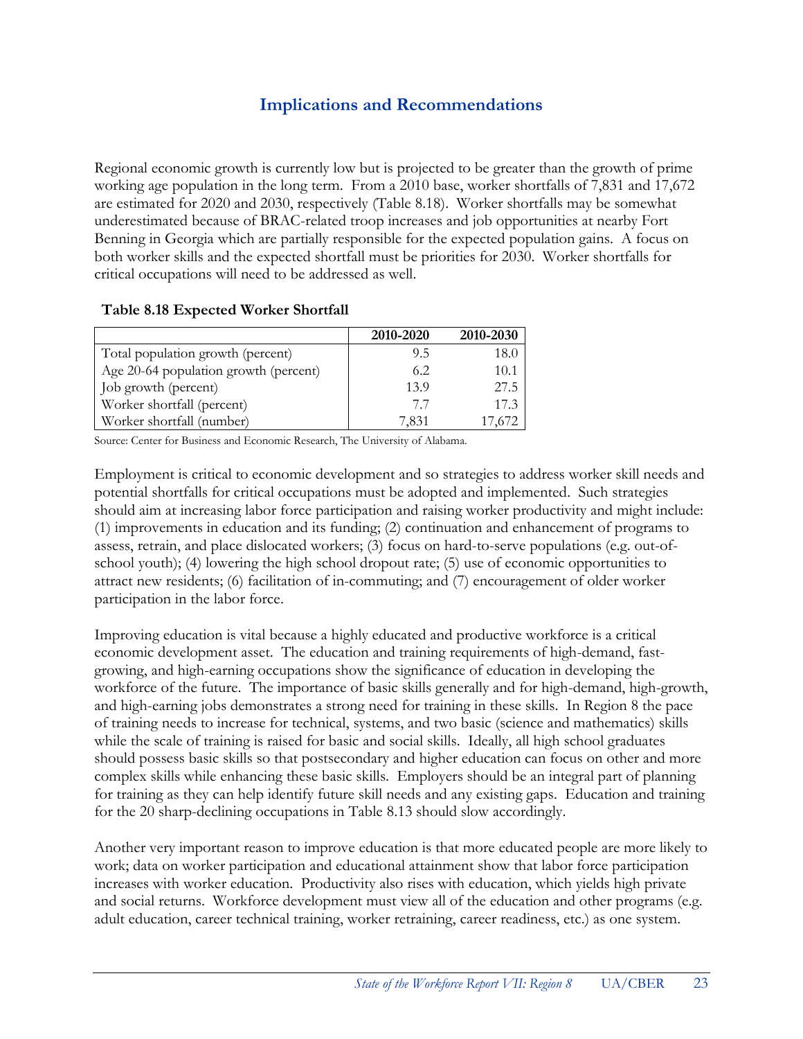## **Implications and Recommendations**

Regional economic growth is currently low but is projected to be greater than the growth of prime working age population in the long term. From a 2010 base, worker shortfalls of 7,831 and 17,672 are estimated for 2020 and 2030, respectively (Table 8.18). Worker shortfalls may be somewhat underestimated because of BRAC-related troop increases and job opportunities at nearby Fort Benning in Georgia which are partially responsible for the expected population gains. A focus on both worker skills and the expected shortfall must be priorities for 2030. Worker shortfalls for critical occupations will need to be addressed as well.

#### **Table 8.18 Expected Worker Shortfall**

|                                       | 2010-2020 | 2010-2030 |
|---------------------------------------|-----------|-----------|
| Total population growth (percent)     | 9.5       | 18.0      |
| Age 20-64 population growth (percent) | 6.2       | 10.1      |
| Job growth (percent)                  | 13.9      | 27.5      |
| Worker shortfall (percent)            | 77        | 17.3      |
| Worker shortfall (number)             | 7,831     | 17,672    |

Source: Center for Business and Economic Research, The University of Alabama.

Employment is critical to economic development and so strategies to address worker skill needs and potential shortfalls for critical occupations must be adopted and implemented. Such strategies should aim at increasing labor force participation and raising worker productivity and might include: (1) improvements in education and its funding; (2) continuation and enhancement of programs to assess, retrain, and place dislocated workers; (3) focus on hard-to-serve populations (e.g. out-ofschool youth); (4) lowering the high school dropout rate; (5) use of economic opportunities to attract new residents; (6) facilitation of in-commuting; and (7) encouragement of older worker participation in the labor force.

Improving education is vital because a highly educated and productive workforce is a critical economic development asset. The education and training requirements of high-demand, fastgrowing, and high-earning occupations show the significance of education in developing the workforce of the future. The importance of basic skills generally and for high-demand, high-growth, and high-earning jobs demonstrates a strong need for training in these skills. In Region 8 the pace of training needs to increase for technical, systems, and two basic (science and mathematics) skills while the scale of training is raised for basic and social skills. Ideally, all high school graduates should possess basic skills so that postsecondary and higher education can focus on other and more complex skills while enhancing these basic skills. Employers should be an integral part of planning for training as they can help identify future skill needs and any existing gaps. Education and training for the 20 sharp-declining occupations in Table 8.13 should slow accordingly.

Another very important reason to improve education is that more educated people are more likely to work; data on worker participation and educational attainment show that labor force participation increases with worker education. Productivity also rises with education, which yields high private and social returns. Workforce development must view all of the education and other programs (e.g. adult education, career technical training, worker retraining, career readiness, etc.) as one system.